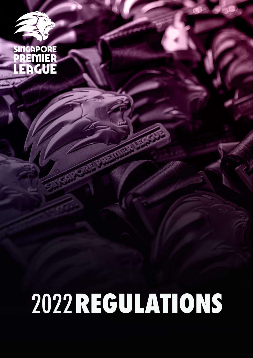

# 2022 REGULATIONS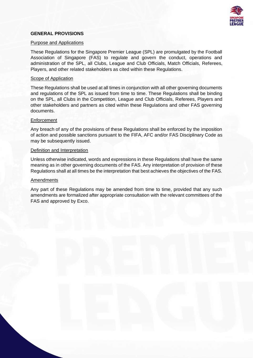

# **GENERAL PROVISIONS**

### Purpose and Applications

These Regulations for the Singapore Premier League (SPL) are promulgated by the Football Association of Singapore (FAS) to regulate and govern the conduct, operations and administration of the SPL, all Clubs, League and Club Officials, Match Officials, Referees, Players, and other related stakeholders as cited within these Regulations.

### Scope of Application

These Regulations shall be used at all times in conjunction with all other governing documents and regulations of the SPL as issued from time to time. These Regulations shall be binding on the SPL, all Clubs in the Competition, League and Club Officials, Referees, Players and other stakeholders and partners as cited within these Regulations and other FAS governing documents.

### **Enforcement**

Any breach of any of the provisions of these Regulations shall be enforced by the imposition of action and possible sanctions pursuant to the FIFA, AFC and/or FAS Disciplinary Code as may be subsequently issued.

### Definition and Interpretation

Unless otherwise indicated, words and expressions in these Regulations shall have the same meaning as in other governing documents of the FAS. Any interpretation of provision of these Regulations shall at all times be the interpretation that best achieves the objectives of the FAS.

### **Amendments**

Any part of these Regulations may be amended from time to time, provided that any such amendments are formalized after appropriate consultation with the relevant committees of the FAS and approved by Exco.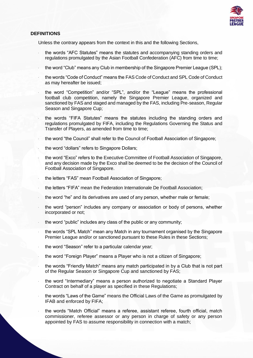

# **DEFINITIONS**

Unless the contrary appears from the context in this and the following Sections,

- ּ the words "AFC Statutes" means the statutes and accompanying standing orders and regulations promulgated by the Asian Football Confederation (AFC) from time to time;
- ּ the word "Club" means any Club in membership of the Singapore Premier League (SPL);
- ּ the words "Code of Conduct" means the FAS Code of Conduct and SPL Code of Conduct as may hereafter be issued;
- ּ the word "Competition" and/or "SPL", and/or the "League" means the professional football club competition, namely the Singapore Premier League, organized and sanctioned by FAS and staged and managed by the FAS, including Pre-season, Regular Season and Singapore Cup;
- ּ the words "FIFA Statutes" means the statutes including the standing orders and regulations promulgated by FIFA, including the Regulations Governing the Status and Transfer of Players, as amended from time to time;
- ּ the word "the Council" shall refer to the Council of Football Association of Singapore;
- ּ the word "dollars" refers to Singapore Dollars;
- ּ the word "Exco" refers to the Executive Committee of Football Association of Singapore, and any decision made by the Exco shall be deemed to be the decision of the Council of Football Association of Singapore.
- ּ the letters "FAS" mean Football Association of Singapore;
- ּ the letters "FIFA" mean the Federation Internationale De Football Association;
- ּ the word "he" and its derivatives are used of any person, whether male or female;
- ּ the word "person" includes any company or association or body of persons, whether incorporated or not;
- ּ the word "public" includes any class of the public or any community;
- ּ the words "SPL Match" mean any Match in any tournament organised by the Singapore Premier League and/or or sanctioned pursuant to these Rules in these Sections;
- ּ the word "Season" refer to a particular calendar year;
- ּ the word "Foreign Player" means a Player who is not a citizen of Singapore;
- ּ the words "Friendly Match" means any match participated in by a Club that is not part of the Regular Season or Singapore Cup and sanctioned by FAS;
- ּ the word "Intermediary" means a person authorized to negotiate a Standard Player Contract on behalf of a player as specified in these Regulations;
- ּ the words "Laws of the Game" means the Official Laws of the Game as promulgated by IFAB and enforced by FIFA;
- ּ the words "Match Official" means a referee, assistant referee, fourth official, match commissioner, referee assessor or any person in charge of safety or any person appointed by FAS to assume responsibility in connection with a match;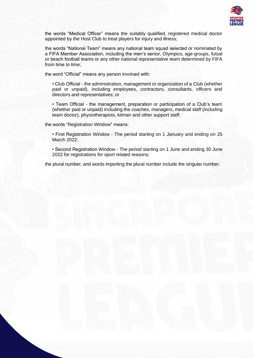

- ּ the words "Medical Officer" means the suitably qualified, registered medical doctor appointed by the Host Club to treat players for injury and illness;
	- ּ the words "National Team" means any national team squad selected or nominated by a FIFA Member Association, including the men's senior, Olympics, age-groups, futsal or beach football teams or any other national representative team determined by FIFA from time to time;
	- ּ the word "Official" means any person involved with:

• Club Official - the administration, management or organization of a Club (whether paid or unpaid), including employees, contractors, consultants, officers and directors and representatives; or

• Team Official - the management, preparation or participation of a Club's team (whether paid or unpaid) including the coaches, managers, medical staff (including team doctor), physiotherapists, kitman and other support staff;

ּ the words "Registration Window" means:

• First Registration Window - The period starting on 1 January and ending on 25 March 2022;

• Second Registration Window - The period starting on 1 June and ending 30 June 2022 for registrations for sport related reasons;

ּ the plural number, and words importing the plural number include the singular number.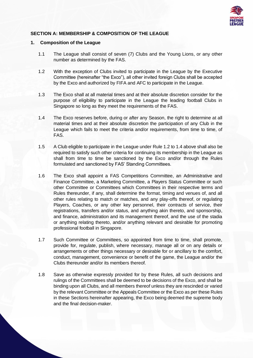

# **SECTION A: MEMBERSHIP & COMPOSITION OF THE LEAGUE**

### **1. Composition of the League**

- 1.1 The League shall consist of seven (7) Clubs and the Young Lions, or any other number as determined by the FAS.
- 1.2 With the exception of Clubs invited to participate in the League by the Executive Committee (hereinafter "the Exco"), all other invited foreign Clubs shall be accepted by the Exco and authorized by FIFA and AFC to participate in the League.
- 1.3 The Exco shall at all material times and at their absolute discretion consider for the purpose of eligibility to participate in the League the leading football Clubs in Singapore so long as they meet the requirements of the FAS.
- 1.4 The Exco reserves before, during or after any Season, the right to determine at all material times and at their absolute discretion the participation of any Club in the League which fails to meet the criteria and/or requirements, from time to time, of FAS.
- 1.5 A Club eligible to participate in the League under Rule 1.2 to 1.4 above shall also be required to satisfy such other criteria for continuing its membership in the League as shall from time to time be sanctioned by the Exco and/or through the Rules formulated and sanctioned by FAS' Standing Committees.
- 1.6 The Exco shall appoint a FAS Competitions Committee, an Administrative and Finance Committee, a Marketing Committee, a Players Status Committee or such other Committee or Committees which Committees in their respective terms and Rules thereunder, if any, shall determine the format, timing and venues of, and all other rules relating to match or matches, and any play-offs thereof, or regulating Players, Coaches, or any other key personnel, their contracts of service, their registrations, transfers and/or status, and anything akin thereto, and sponsorship, and finance, administration and its management thereof, and the use of the stadia or anything relating thereto, and/or anything relevant and desirable for promoting professional football in Singapore.
- 1.7 Such Committee or Committees, so appointed from time to time, shall promote, provide for, regulate, publish, where necessary, manage all or on any details or arrangements or other things necessary or desirable for or ancillary to the comfort, conduct, management, convenience or benefit of the game, the League and/or the Clubs thereunder and/or its members thereof.
- 1.8 Save as otherwise expressly provided for by these Rules, all such decisions and rulings of the Committees shall be deemed to be decisions of the Exco, and shall be binding upon all Clubs, and all members thereof unless they are rescinded or varied by the relevant Committee or the Appeals Committee or the Exco as per these Rules in these Sections hereinafter appearing, the Exco being deemed the supreme body and the final decision-maker.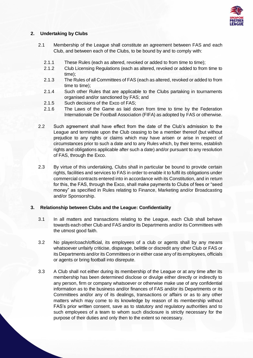

# **2. Undertaking by Clubs**

- 2.1 Membership of the League shall constitute an agreement between FAS and each Club, and between each of the Clubs, to be bound by and to comply with:
	- 2.1.1 These Rules (each as altered, revoked or added to from time to time);
	- 2.1.2 Club Licensing Regulations (each as altered, revoked or added to from time to time);
	- 2.1.3 The Rules of all Committees of FAS (each as altered, revoked or added to from time to time);
	- 2.1.4 Such other Rules that are applicable to the Clubs partaking in tournaments organised and/or sanctioned by FAS; and
	- 2.1.5 Such decisions of the Exco of FAS;
	- 2.1.6 The Laws of the Game as laid down from time to time by the Federation Internationale De Football Association (FIFA) as adopted by FAS or otherwise.
- 2.2 Such agreement shall have effect from the date of the Club's admission to the League and terminate upon the Club ceasing to be a member thereof (but without prejudice to any rights or claims which may have arisen or arise in respect of circumstances prior to such a date and to any Rules which, by their terms, establish rights and obligations applicable after such a date) and/or pursuant to any resolution of FAS, through the Exco.
- 2.3 By virtue of this undertaking, Clubs shall in particular be bound to provide certain rights, facilities and services to FAS in order to enable it to fulfil its obligations under commercial contracts entered into in accordance with its Constitution, and in return for this, the FAS, through the Exco, shall make payments to Clubs of fees or "seed money" as specified in Rules relating to Finance, Marketing and/or Broadcasting and/or Sponsorship.

# **3. Relationship between Clubs and the League: Confidentiality**

- 3.1 In all matters and transactions relating to the League, each Club shall behave towards each other Club and FAS and/or its Departments and/or its Committees with the utmost good faith.
- 3.2 No player/coach/official, its employees of a club or agents shall by any means whatsoever unfairly criticise, disparage, belittle or discredit any other Club or FAS or its Departments and/or its Committees or in either case any of its employees, officials or agents or bring football into disrepute.
- 3.3 A Club shall not either during its membership of the League or at any time after its membership has been determined disclose or divulge either directly or indirectly to any person, firm or company whatsoever or otherwise make use of any confidential information as to the business and/or finances of FAS and/or its Departments or its Committees and/or any of its dealings, transactions or affairs or as to any other matters which may come to its knowledge by reason of its membership without FAS's prior written consent, save as to statutory and regulatory authorities and to such employees of a team to whom such disclosure is strictly necessary for the purpose of their duties and only then to the extent so necessary.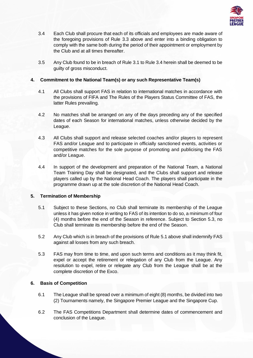

- 3.4 Each Club shall procure that each of its officials and employees are made aware of the foregoing provisions of Rule 3.3 above and enter into a binding obligation to comply with the same both during the period of their appointment or employment by the Club and at all times thereafter.
- 3.5 Any Club found to be in breach of Rule 3.1 to Rule 3.4 herein shall be deemed to be guilty of gross misconduct.

# **4. Commitment to the National Team(s) or any such Representative Team(s)**

- 4.1 All Clubs shall support FAS in relation to international matches in accordance with the provisions of FIFA and The Rules of the Players Status Committee of FAS, the latter Rules prevailing.
- 4.2 No matches shall be arranged on any of the days preceding any of the specified dates of each Season for international matches, unless otherwise decided by the League.
- 4.3 All Clubs shall support and release selected coaches and/or players to represent FAS and/or League and to participate in officially sanctioned events, activities or competitive matches for the sole purpose of promoting and publicising the FAS and/or League.
- 4.4 In support of the development and preparation of the National Team, a National Team Training Day shall be designated, and the Clubs shall support and release players called up by the National Head Coach. The players shall participate in the programme drawn up at the sole discretion of the National Head Coach.

# **5. Termination of Membership**

- 5.1 Subject to these Sections, no Club shall terminate its membership of the League unless it has given notice in writing to FAS of its intention to do so, a minimum of four (4) months before the end of the Season in reference. Subject to Section 5.3, no Club shall terminate its membership before the end of the Season.
- 5.2 Any Club which is in breach of the provisions of Rule 5.1 above shall indemnify FAS against all losses from any such breach.
- 5.3 FAS may from time to time, and upon such terms and conditions as it may think fit, expel or accept the retirement or relegation of any Club from the League. Any resolution to expel, retire or relegate any Club from the League shall be at the complete discretion of the Exco.

# **6. Basis of Competition**

- 6.1 The League shall be spread over a minimum of eight (8) months, be divided into two (2) Tournaments namely, the Singapore Premier League and the Singapore Cup.
- 6.2 The FAS Competitions Department shall determine dates of commencement and conclusion of the League.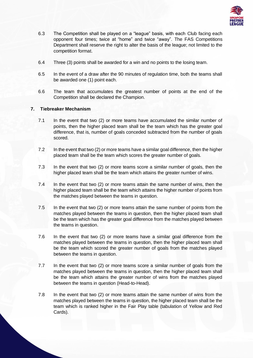

- 6.3 The Competition shall be played on a "league" basis, with each Club facing each opponent four times; twice at "home" and twice "away". The FAS Competitions Department shall reserve the right to alter the basis of the league; not limited to the competition format.
- 6.4 Three (3) points shall be awarded for a win and no points to the losing team.
- 6.5 In the event of a draw after the 90 minutes of regulation time, both the teams shall be awarded one (1) point each.
- 6.6 The team that accumulates the greatest number of points at the end of the Competition shall be declared the Champion.

# **7. Tiebreaker Mechanism**

- 7.1 In the event that two (2) or more teams have accumulated the similar number of points, then the higher placed team shall be the team which has the greater goal difference, that is, number of goals conceded subtracted from the number of goals scored.
- 7.2 In the event that two (2) or more teams have a similar goal difference, then the higher placed team shall be the team which scores the greater number of goals.
- 7.3 In the event that two (2) or more teams score a similar number of goals, then the higher placed team shall be the team which attains the greater number of wins.
- 7.4 In the event that two (2) or more teams attain the same number of wins, then the higher placed team shall be the team which attains the higher number of points from the matches played between the teams in question.
- 7.5 In the event that two (2) or more teams attain the same number of points from the matches played between the teams in question, then the higher placed team shall be the team which has the greater goal difference from the matches played between the teams in question.
- 7.6 In the event that two (2) or more teams have a similar goal difference from the matches played between the teams in question, then the higher placed team shall be the team which scored the greater number of goals from the matches played between the teams in question.
- 7.7 In the event that two (2) or more teams score a similar number of goals from the matches played between the teams in question, then the higher placed team shall be the team which attains the greater number of wins from the matches played between the teams in question (Head-to-Head).
- 7.8 In the event that two (2) or more teams attain the same number of wins from the matches played between the teams in question, the higher placed team shall be the team which is ranked higher in the Fair Play table (tabulation of Yellow and Red Cards).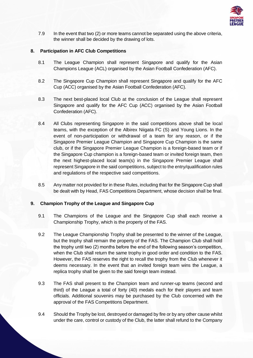

7.9 In the event that two (2) or more teams cannot be separated using the above criteria, the winner shall be decided by the drawing of lots.

# **8. Participation in AFC Club Competitions**

- 8.1 The League Champion shall represent Singapore and qualify for the Asian Champions League (ACL) organised by the Asian Football Confederation (AFC).
- 8.2 The Singapore Cup Champion shall represent Singapore and qualify for the AFC Cup (ACC) organised by the Asian Football Confederation (AFC).
- 8.3 The next best-placed local Club at the conclusion of the League shall represent Singapore and qualify for the AFC Cup (ACC) organised by the Asian Football Confederation (AFC).
- 8.4 All Clubs representing Singapore in the said competitions above shall be local teams, with the exception of the Albirex Niigata FC (S) and Young Lions. In the event of non-participation or withdrawal of a team for any reason, or if the Singapore Premier League Champion and Singapore Cup Champion is the same club, or if the Singapore Premier League Champion is a foreign-based team or if the Singapore Cup champion is a foreign-based team or invited foreign team, then the next highest-placed local team(s) in the Singapore Premier League shall represent Singapore in the said competitions, subject to the entry/qualification rules and regulations of the respective said competitions.
- 8.5 Any matter not provided for in these Rules, including that for the Singapore Cup shall be dealt with by Head, FAS Competitions Department, whose decision shall be final.

### **9. Champion Trophy of the League and Singapore Cup**

- 9.1 The Champions of the League and the Singapore Cup shall each receive a Championship Trophy, which is the property of the FAS.
- 9.2 The League Championship Trophy shall be presented to the winner of the League, but the trophy shall remain the property of the FAS. The Champion Club shall hold the trophy until two (2) months before the end of the following season's competition, when the Club shall return the same trophy in good order and condition to the FAS. However, the FAS reserves the right to recall the trophy from the Club whenever it deems necessary. In the event that an invited foreign team wins the League, a replica trophy shall be given to the said foreign team instead.
- 9.3 The FAS shall present to the Champion team and runner-up teams (second and third) of the League a total of forty (40) medals each for their players and team officials. Additional souvenirs may be purchased by the Club concerned with the approval of the FAS Competitions Department.
- 9.4 Should the Trophy be lost, destroyed or damaged by fire or by any other cause whilst under the care, control or custody of the Club, the latter shall refund to the Company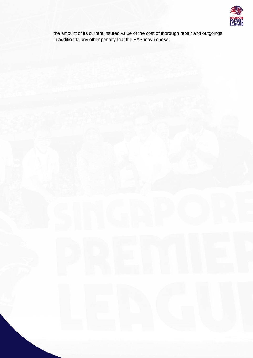

the amount of its current insured value of the cost of thorough repair and outgoings in addition to any other penalty that the FAS may impose.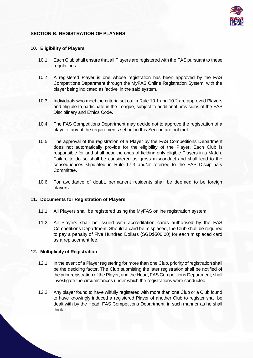

# **SECTION B: REGISTRATION OF PLAYERS**

### **10. Eligibility of Players**

- 10.1 Each Club shall ensure that all Players are registered with the FAS pursuant to these regulations.
- 10.2 A registered Player is one whose registration has been approved by the FAS Competitions Department through the MyFAS Online Registration System, with the player being indicated as 'active' in the said system.
- 10.3 Individuals who meet the criteria set out in Rule 10.1 and 10.2 are approved Players and eligible to participate in the League, subject to additional provisions of the FAS Disciplinary and Ethics Code.
- 10.4 The FAS Competitions Department may decide not to approve the registration of a player if any of the requirements set out in this Section are not met.
- 10.5 The approval of the registration of a Player by the FAS Competitions Department does not automatically provide for the eligibility of the Player. Each Club is responsible for and shall bear the onus of fielding only eligible Players in a Match. Failure to do so shall be considered as gross misconduct and shall lead to the consequences stipulated in Rule 17.3 and/or referred to the FAS Disciplinary Committee.
- 10.6 For avoidance of doubt, permanent residents shall be deemed to be foreign players.

### **11. Documents for Registration of Players**

- 11.1 All Players shall be registered using the MyFAS online registration system.
- 11.2 All Players shall be issued with accreditation cards authorised by the FAS Competitions Department. Should a card be misplaced, the Club shall be required to pay a penalty of Five Hundred Dollars (SGD\$500.00) for each misplaced card as a replacement fee.

### **12. Multiplicity of Registration**

- 12.1 In the event of a Player registering for more than one Club, priority of registration shall be the deciding factor. The Club submitting the later registration shall be notified of the prior registration of the Player, and the Head, FAS Competitions Department, shall investigate the circumstances under which the registrations were conducted.
- 12.2 Any player found to have wilfully registered with more than one Club or a Club found to have knowingly induced a registered Player of another Club to register shall be dealt with by the Head, FAS Competitions Department, in such manner as he shall think fit.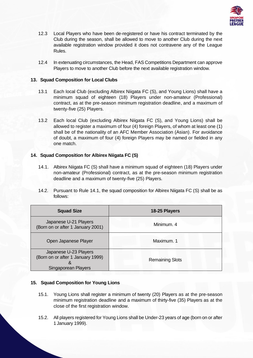

- 12.3 Local Players who have been de-registered or have his contract terminated by the Club during the season, shall be allowed to move to another Club during the next available registration window provided it does not contravene any of the League Rules.
- 12.4 In extenuating circumstances, the Head, FAS Competitions Department can approve Players to move to another Club before the next available registration window.

# **13. Squad Composition for Local Clubs**

- 13.1 Each local Club (excluding Albirex Niigata FC (S), and Young Lions) shall have a minimum squad of eighteen (18) Players under non-amateur (Professional) contract, as at the pre-season minimum registration deadline, and a maximum of twenty-five (25) Players.
- 13.2 Each local Club (excluding Albirex Niigata FC (S), and Young Lions) shall be allowed to register a maximum of four (4) foreign Players, of whom at least one (1) shall be of the nationality of an AFC Member Association (Asian). For avoidance of doubt, a maximum of four (4) foreign Players may be named or fielded in any one match.

# **14. Squad Composition for Albirex Niigata FC (S)**

- 14.1. Albirex Niigata FC (S) shall have a minimum squad of eighteen (18) Players under non-amateur (Professional) contract, as at the pre-season minimum registration deadline and a maximum of twenty-five (25) Players.
- 14.2. Pursuant to Rule 14.1, the squad composition for Albirex Niigata FC (S) shall be as follows:

| <b>Squad Size</b>                                                                       | 18-25 Players          |
|-----------------------------------------------------------------------------------------|------------------------|
| Japanese U-21 Players<br>(Born on or after 1 January 2001)                              | Minimum, 4             |
| Open Japanese Player                                                                    | Maximum. 1             |
| Japanese U-23 Players<br>(Born on or after 1 January 1999)<br>X,<br>Singaporean Players | <b>Remaining Slots</b> |

### **15. Squad Composition for Young Lions**

- 15.1. Young Lions shall register a minimum of twenty (20) Players as at the pre-season minimum registration deadline and a maximum of thirty-five (35) Players as at the close of the first registration window.
- 15.2. All players registered for Young Lions shall be Under-23 years of age (born on or after 1 January 1999).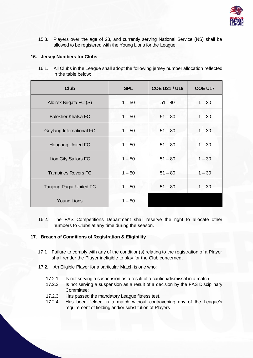

15.3. Players over the age of 23, and currently serving National Service (NS) shall be allowed to be registered with the Young Lions for the League.

# **16. Jersey Numbers for Clubs**

16.1. All Clubs in the League shall adopt the following jersey number allocation reflected in the table below:

| <b>Club</b>                    | <b>SPL</b> | <b>COE U21 / U19</b> | <b>COE U17</b> |
|--------------------------------|------------|----------------------|----------------|
| Albirex Niigata FC (S)         | $1 - 50$   | $51 - 80$            | $1 - 30$       |
| <b>Balestier Khalsa FC</b>     | $1 - 50$   | $51 - 80$            | $1 - 30$       |
| Geylang International FC       | $1 - 50$   | $51 - 80$            | $1 - 30$       |
| <b>Hougang United FC</b>       | $1 - 50$   | $51 - 80$            | $1 - 30$       |
| <b>Lion City Sailors FC</b>    | $1 - 50$   | $51 - 80$            | $1 - 30$       |
| <b>Tampines Rovers FC</b>      | $1 - 50$   | $51 - 80$            | $1 - 30$       |
| <b>Tanjong Pagar United FC</b> | $1 - 50$   | $51 - 80$            | $1 - 30$       |
| Young Lions                    | $1 - 50$   |                      |                |

16.2. The FAS Competitions Department shall reserve the right to allocate other numbers to Clubs at any time during the season.

# **17. Breach of Conditions of Registration & Eligibility**

- 17.1 Failure to comply with any of the condition(s) relating to the registration of a Player shall render the Player ineligible to play for the Club concerned.
- 17.2. An Eligible Player for a particular Match is one who:
	- 17.2.1. Is not serving a suspension as a result of a caution/dismissal in a match;
	- 17.2.2. Is not serving a suspension as a result of a decision by the FAS Disciplinary Committee;
	- 17.2.3. Has passed the mandatory League fitness test,
	- 17.2.4. Has been fielded in a match without contravening any of the League's requirement of fielding and/or substitution of Players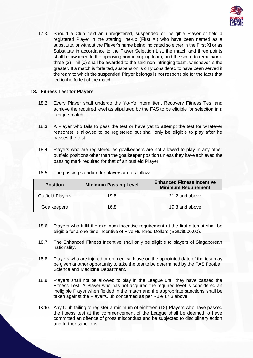

17.3. Should a Club field an unregistered, suspended or ineligible Player or field a registered Player in the starting line-up (First XI) who have been named as a substitute, or without the Player's name being indicated so either in the First XI or as Substitute in accordance to the Player Selection List, the match and three points shall be awarded to the opposing non-infringing team, and the score to remain/or a three (3) - nil (0) shall be awarded to the said non-infringing team, whichever is the greater. If a match is forfeited, suspension is only considered to have been served if the team to which the suspended Player belongs is not responsible for the facts that led to the forfeit of the match.

# **18. Fitness Test for Players**

- 18.2. Every Player shall undergo the Yo-Yo Intermittent Recovery Fitness Test and achieve the required level as stipulated by the FAS to be eligible for selection in a League match.
- 18.3. A Player who fails to pass the test or have yet to attempt the test for whatever reason(s) is allowed to be registered but shall only be eligible to play after he passes the test.
- 18.4. Players who are registered as goalkeepers are not allowed to play in any other outfield positions other than the goalkeeper position unless they have achieved the passing mark required for that of an outfield Player.

| <b>Position</b>         | <b>Minimum Passing Level</b> | <b>Enhanced Fitness Incentive</b><br><b>Minimum Requirement</b> |
|-------------------------|------------------------------|-----------------------------------------------------------------|
| <b>Outfield Players</b> | 19.8                         | 21.2 and above                                                  |
| Goalkeepers             | 16.8                         | 19.8 and above                                                  |

18.5. The passing standard for players are as follows:

- 18.6. Players who fulfil the minimum incentive requirement at the first attempt shall be eligible for a one-time incentive of Five Hundred Dollars (SGD\$500.00).
- 18.7. The Enhanced Fitness Incentive shall only be eligible to players of Singaporean nationality.
- 18.8. Players who are injured or on medical leave on the appointed date of the test may be given another opportunity to take the test to be determined by the FAS Football Science and Medicine Department.
- 18.9. Players shall not be allowed to play in the League until they have passed the Fitness Test. A Player who has not acquired the required level is considered an ineligible Player when fielded in the match and the appropriate sanctions shall be taken against the Player/Club concerned as per Rule 17.3 above.
- 18.10. Any Club failing to register a minimum of eighteen (18) Players who have passed the fitness test at the commencement of the League shall be deemed to have committed an offence of gross misconduct and be subjected to disciplinary action and further sanctions.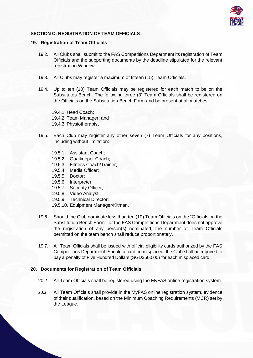

# **SECTION C: REGISTRATION OF TEAM OFFICIALS**

### **19. Registration of Team Officials**

- 19.2. All Clubs shall submit to the FAS Competitions Department its registration of Team Officials and the supporting documents by the deadline stipulated for the relevant registration Window.
- 19.3. All Clubs may register a maximum of fifteen (15) Team Officials.
- 19.4. Up to ten (10) Team Officials may be registered for each match to be on the Substitutes Bench. The following three (3) Team Officials shall be registered on the Officials on the Substitution Bench Form and be present at all matches:

19.4.1. Head Coach; 19.4.2. Team Manager; and 19.4.3. Physiotherapist

- 19.5. Each Club may register any other seven (7) Team Officials for any positions, including without limitation:
	- 19.5.1. Assistant Coach;
	- 19.5.2. Goalkeeper Coach;
	- 19.5.3. Fitness Coach/Trainer;
	- 19.5.4. Media Officer;
	- 19.5.5. Doctor;
	- 19.5.6. Interpreter;
	- 19.5.7. Security Officer;
	- 19.5.8. Video Analyst;
	- 19.5.9. Technical Director;
	- 19.5.10. Equipment Manager/Kitman.
- 19.6. Should the Club nominate less than ten (10) Team Officials on the "Officials on the Substitution Bench Form", or the FAS Competitions Department does not approve the registration of any person(s) nominated, the number of Team Officials permitted on the team bench shall reduce proportionately.
- 19.7. All Team Officials shall be issued with official eligibility cards authorized by the FAS Competitions Department. Should a card be misplaced, the Club shall be required to pay a penalty of Five Hundred Dollars (SGD\$500.00) for each misplaced card.

# **20. Documents for Registration of Team Officials**

- 20.2. All Team Officials shall be registered using the MyFAS online registration system.
- 20.3. All Team Officials shall provide in the MyFAS online registration system, evidence of their qualification, based on the Minimum Coaching Requirements (MCR) set by the League.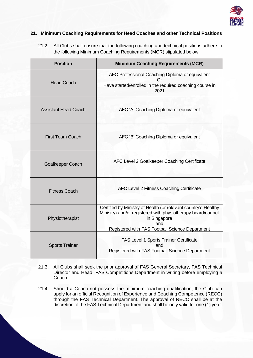

# **21. Minimum Coaching Requirements for Head Coaches and other Technical Positions**

21.2. All Clubs shall ensure that the following coaching and technical positions adhere to the following Minimum Coaching Requirements (MCR) stipulated below:

| <b>Position</b>             | <b>Minimum Coaching Requirements (MCR)</b>                                                                                                                                                               |
|-----------------------------|----------------------------------------------------------------------------------------------------------------------------------------------------------------------------------------------------------|
| <b>Head Coach</b>           | AFC Professional Coaching Diploma or equivalent<br>Or.<br>Have started/enrolled in the required coaching course in<br>2021                                                                               |
| <b>Assistant Head Coach</b> | AFC 'A' Coaching Diploma or equivalent                                                                                                                                                                   |
| <b>First Team Coach</b>     | AFC 'B' Coaching Diploma or equivalent                                                                                                                                                                   |
| <b>Goalkeeper Coach</b>     | AFC Level 2 Goalkeeper Coaching Certificate                                                                                                                                                              |
| <b>Fitness Coach</b>        | AFC Level 2 Fitness Coaching Certificate                                                                                                                                                                 |
| Physiotherapist             | Certified by Ministry of Health (or relevant country's Healthy<br>Ministry) and/or registered with physiotherapy board/council<br>in Singapore<br>and<br>Registered with FAS Football Science Department |
| <b>Sports Trainer</b>       | <b>FAS Level 1 Sports Trainer Certificate</b><br>and<br>Registered with FAS Football Science Department                                                                                                  |

- 21.3. All Clubs shall seek the prior approval of FAS General Secretary, FAS Technical Director and Head, FAS Competitions Department in writing before employing a Coach.
- 21.4. Should a Coach not possess the minimum coaching qualification, the Club can apply for an official Recognition of Experience and Coaching Competence (RECC) through the FAS Technical Department. The approval of RECC shall be at the discretion of the FAS Technical Department and shall be only valid for one (1) year.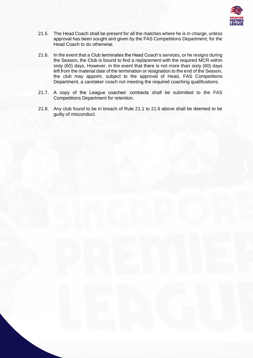

- 21.5. The Head Coach shall be present for all the matches where he is in-charge, unless approval has been sought and given by the FAS Competitions Department, for the Head Coach to do otherwise.
- 21.6. In the event that a Club terminates the Head Coach's services, or he resigns during the Season, the Club is bound to find a replacement with the required MCR within sixty (60) days. However, in the event that there is not more than sixty (60) days left from the material date of the termination or resignation to the end of the Season, the club may appoint, subject to the approval of Head, FAS Competitions Department, a caretaker coach not meeting the required coaching qualifications.
- 21.7. A copy of the League coaches' contracts shall be submitted to the FAS Competitions Department for retention.
- 21.8. Any club found to be in breach of Rule 21.1 to 21.6 above shall be deemed to be guilty of misconduct.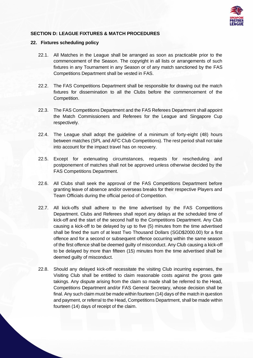

# **SECTION D: LEAGUE FIXTURES & MATCH PROCEDURES**

### **22. Fixtures scheduling policy**

- 22.1. All Matches in the League shall be arranged as soon as practicable prior to the commencement of the Season. The copyright in all lists or arrangements of such fixtures in any Tournament in any Season or of any match sanctioned by the FAS Competitions Department shall be vested in FAS.
- 22.2. The FAS Competitions Department shall be responsible for drawing out the match fixtures for dissemination to all the Clubs before the commencement of the Competition.
- 22.3. The FAS Competitions Department and the FAS Referees Department shall appoint the Match Commissioners and Referees for the League and Singapore Cup respectively.
- 22.4. The League shall adopt the guideline of a minimum of forty-eight (48) hours between matches (SPL and AFC Club Competitions). The rest period shall not take into account for the impact travel has on recovery.
- 22.5. Except for extenuating circumstances, requests for rescheduling and postponement of matches shall not be approved unless otherwise decided by the FAS Competitions Department.
- 22.6. All Clubs shall seek the approval of the FAS Competitions Department before granting leave of absence and/or overseas breaks for their respective Players and Team Officials during the official period of Competition.
- 22.7. All kick-offs shall adhere to the time advertised by the FAS Competitions Department. Clubs and Referees shall report any delays at the scheduled time of kick-off and the start of the second half to the Competitions Department. Any Club causing a kick-off to be delayed by up to five (5) minutes from the time advertised shall be fined the sum of at least Two Thousand Dollars (SGD\$2000.00) for a first offence and for a second or subsequent offence occurring within the same season of the first offence shall be deemed guilty of misconduct. Any Club causing a kick-off to be delayed by more than fifteen (15) minutes from the time advertised shall be deemed guilty of misconduct.
- 22.8. Should any delayed kick-off necessitate the visiting Club incurring expenses, the Visiting Club shall be entitled to claim reasonable costs against the gross gate takings. Any dispute arising from the claim so made shall be referred to the Head, Competitions Department and/or FAS General Secretary, whose decision shall be final. Any such claim must be made within fourteen (14) days of the match in question and payment, or referral to the Head, Competitions Department, shall be made within fourteen (14) days of receipt of the claim.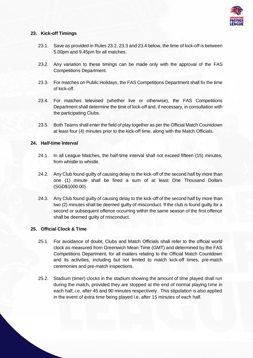

# **23. Kick-off Timings**

- 23.1. Save as provided in Rules 23.2, 23.3 and 23.4 below, the time of kick-off is between 5.00pm and 9.45pm for all matches.
- 23.2. Any variation to these timings can be made only with the approval of the FAS Competitions Department.
- 23.3. For matches on Public Holidays, the FAS Competitions Department shall fix the time of kick-off.
- 23.4. For matches televised (whether live or otherwise), the FAS Competitions Department shall determine the time of kick-off and, if necessary, in consultation with the participating Clubs.
- 23.5. Both Teams shall enter the field of play together as per the Official Match Countdown at least four (4) minutes prior to the kick-off time, along with the Match Officials.

# **24. Half-time Interval**

- 24.1. In all League Matches, the half-time interval shall not exceed fifteen (15) minutes, from whistle to whistle.
- 24.2. Any Club found guilty of causing delay to the kick-off of the second half by more than one (1) minute shall be fined a sum of at least One Thousand Dollars (SGD\$1000.00).
- 24.3. Any Club found guilty of causing delay to the kick-off of the second half by more than two (2) minutes shall be deemed guilty of misconduct. If the club is found guilty for a second or subsequent offence occurring within the same season of the first offence shall be deemed guilty of misconduct.

# **25. Official Clock & Time**

- 25.1. For avoidance of doubt, Clubs and Match Officials shall refer to the official world clock as measured from Greenwich Mean Time (GMT) and determined by the FAS Competitions Department, for all matters relating to the Official Match Countdown and its activities, including but not limited to match kick-off times, pre-match ceremonies and pre-match inspections.
- 25.2. Stadium (timer) clocks in the stadium showing the amount of time played shall run during the match, provided they are stopped at the end of normal playing time in each half, i.e. after 45 and 90 minutes respectively. This stipulation is also applied in the event of extra time being played i.e. after 15 minutes of each half.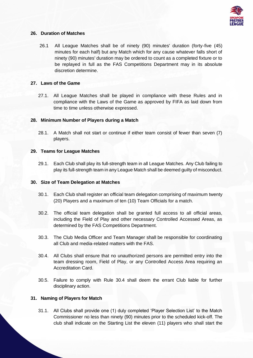

# **26. Duration of Matches**

26.1 All League Matches shall be of ninety (90) minutes' duration (forty-five (45) minutes for each half) but any Match which for any cause whatever falls short of ninety (90) minutes' duration may be ordered to count as a completed fixture or to be replayed in full as the FAS Competitions Department may in its absolute discretion determine.

# **27. Laws of the Game**

27.1. All League Matches shall be played in compliance with these Rules and in compliance with the Laws of the Game as approved by FIFA as laid down from time to time unless otherwise expressed.

# **28. Minimum Number of Players during a Match**

28.1. A Match shall not start or continue if either team consist of fewer than seven (7) players.

# **29. Teams for League Matches**

29.1. Each Club shall play its full-strength team in all League Matches. Any Club failing to play its full-strength team in any League Match shall be deemed guilty of misconduct.

# **30. Size of Team Delegation at Matches**

- 30.1. Each Club shall register an official team delegation comprising of maximum twenty (20) Players and a maximum of ten (10) Team Officials for a match.
- 30.2. The official team delegation shall be granted full access to all official areas, including the Field of Play and other necessary Controlled Accessed Areas, as determined by the FAS Competitions Department.
- 30.3. The Club Media Officer and Team Manager shall be responsible for coordinating all Club and media-related matters with the FAS.
- 30.4. All Clubs shall ensure that no unauthorized persons are permitted entry into the team dressing room, Field of Play, or any Controlled Access Area requiring an Accreditation Card.
- 30.5. Failure to comply with Rule 30.4 shall deem the errant Club liable for further disciplinary action.

# **31. Naming of Players for Match**

31.1. All Clubs shall provide one (1) duly completed 'Player Selection List' to the Match Commissioner no less than ninety (90) minutes prior to the scheduled kick-off. The club shall indicate on the Starting List the eleven (11) players who shall start the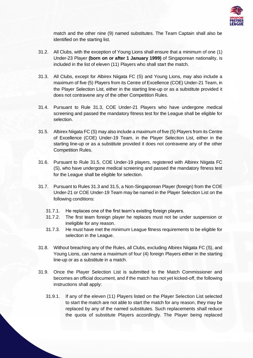

match and the other nine (9) named substitutes. The Team Captain shall also be identified on the starting list.

- 31.2. All Clubs, with the exception of Young Lions shall ensure that a minimum of one (1) Under-23 Player **(born on or after 1 January 1999)** of Singaporean nationality, is included in the list of eleven (11) Players who shall start the match.
- 31.3. All Clubs, except for Albirex Niigata FC (S) and Young Lions, may also include a maximum of five (5) Players from its Centre of Excellence (COE) Under-21 Team, in the Player Selection List, either in the starting line-up or as a substitute provided it does not contravene any of the other Competition Rules.
- 31.4. Pursuant to Rule 31.3, COE Under-21 Players who have undergone medical screening and passed the mandatory fitness test for the League shall be eligible for selection.
- 31.5. Albirex Niigata FC (S) may also include a maximum of five (5) Players from its Centre of Excellence (COE) Under-19 Team, in the Player Selection List, either in the starting line-up or as a substitute provided it does not contravene any of the other Competition Rules.
- 31.6. Pursuant to Rule 31.5, COE Under-19 players, registered with Albirex Niigata FC (S), who have undergone medical screening and passed the mandatory fitness test for the League shall be eligible for selection.
- 31.7. Pursuant to Rules 31.3 and 31.5, a Non-Singaporean Player (foreign) from the COE Under-21 or COE Under-19 Team may be named in the Player Selection List on the following conditions:
	- 31.7.1. He replaces one of the first team's existing foreign players.
	- 31.7.2. The first team foreign player he replaces must not be under suspension or ineligible for any reason.
	- 31.7.3. He must have met the minimum League fitness requirements to be eligible for selection in the League.
- 31.8. Without breaching any of the Rules, all Clubs, excluding Albirex Niigata FC (S), and Young Lions, can name a maximum of four (4) foreign Players either in the starting line-up or as a substitute in a match.
- 31.9. Once the Player Selection List is submitted to the Match Commissioner and becomes an official document, and if the match has not yet kicked-off, the following instructions shall apply:
	- 31.9.1. If any of the eleven (11) Players listed on the Player Selection List selected to start the match are not able to start the match for any reason, they may be replaced by any of the named substitutes. Such replacements shall reduce the quota of substitute Players accordingly. The Player being replaced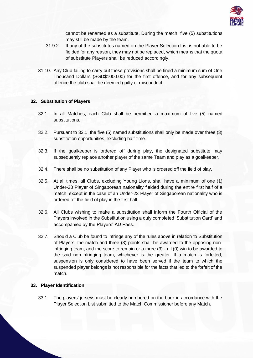

cannot be renamed as a substitute. During the match, five (5) substitutions may still be made by the team.

- 31.9.2. If any of the substitutes named on the Player Selection List is not able to be fielded for any reason, they may not be replaced, which means that the quota of substitute Players shall be reduced accordingly.
- 31.10. Any Club failing to carry out these provisions shall be fined a minimum sum of One Thousand Dollars (SGD\$1000.00) for the first offence, and for any subsequent offence the club shall be deemed guilty of misconduct.

# **32. Substitution of Players**

- 32.1. In all Matches, each Club shall be permitted a maximum of five (5) named substitutions.
- 32.2. Pursuant to 32.1, the five (5) named substitutions shall only be made over three (3) substitution opportunities, excluding half-time.
- 32.3. If the goalkeeper is ordered off during play, the designated substitute may subsequently replace another player of the same Team and play as a goalkeeper.
- 32.4. There shall be no substitution of any Player who is ordered off the field of play.
- 32.5. At all times, all Clubs, excluding Young Lions, shall have a minimum of one (1) Under-23 Player of Singaporean nationality fielded during the entire first half of a match, except in the case of an Under-23 Player of Singaporean nationality who is ordered off the field of play in the first half.
- 32.6. All Clubs wishing to make a substitution shall inform the Fourth Official of the Players involved in the Substitution using a duly completed 'Substitution Card' and accompanied by the Players' AD Pass.
- 32.7. Should a Club be found to infringe any of the rules above in relation to Substitution of Players, the match and three (3) points shall be awarded to the opposing noninfringing team, and the score to remain or a three (3) - nil (0) win to be awarded to the said non-infringing team, whichever is the greater. If a match is forfeited, suspension is only considered to have been served if the team to which the suspended player belongs is not responsible for the facts that led to the forfeit of the match.

### **33. Player Identification**

33.1. The players' jerseys must be clearly numbered on the back in accordance with the Player Selection List submitted to the Match Commissioner before any Match.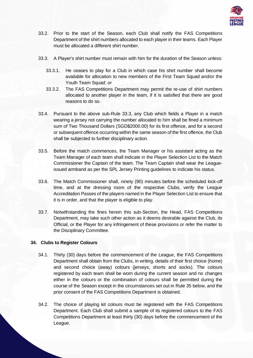

- 33.2. Prior to the start of the Season, each Club shall notify the FAS Competitions Department of the shirt numbers allocated to each player in their teams. Each Player must be allocated a different shirt number.
- 33.3. A Player's shirt number must remain with him for the duration of the Season unless:
	- 33.3.1. He ceases to play for a Club in which case his shirt number shall become available for allocation to new members of the First Team Squad and/or the Youth Team Squad; or
	- 33.3.2. The FAS Competitions Department may permit the re-use of shirt numbers allocated to another player in the team, if it is satisfied that there are good reasons to do so.
- 33.4. Pursuant to the above sub-Rule 33.3, any Club which fields a Player in a match wearing a jersey not carrying the number allocated to him shall be fined a minimum sum of Two Thousand Dollars (SGD\$2000.00) for its first offence, and for a second or subsequent offence occurring within the same season of the first offence, the Club shall be subjected to further disciplinary action.
- 33.5. Before the match commences, the Team Manager or his assistant acting as the Team Manager of each team shall indicate in the Player Selection List to the Match Commissioner the Captain of the team. The Team Captain shall wear the Leagueissued armband as per the SPL Jersey Printing guidelines to indicate his status.
- 33.6. The Match Commissioner shall, ninety (90) minutes before the scheduled kick-off time, and at the dressing room of the respective Clubs, verify the League Accreditation Passes of the players named in the Player Selection List to ensure that it is in order, and that the player is eligible to play.
- 33.7. Notwithstanding the fines herein this sub-Section, the Head, FAS Competitions Department, may take such other action as it deems desirable against the Club, its Official, or the Player for any infringement of these provisions or refer the matter to the Disciplinary Committee.

# **34. Clubs to Register Colours**

- 34.1. Thirty (30) days before the commencement of the League, the FAS Competitions Department shall obtain from the Clubs, in writing, details of their first choice (home) and second choice (away) colours (jerseys, shorts and socks). The colours registered by each team shall be worn during the current season and no changes either in the colours or the combination of colours shall be permitted during the course of the Season except in the circumstances set out in Rule 35 below, and the prior consent of the FAS Competitions Department is obtained.
- 34.2. The choice of playing kit colours must be registered with the FAS Competitions Department. Each Club shall submit a sample of its registered colours to the FAS Competitions Department at least thirty (30) days before the commencement of the League.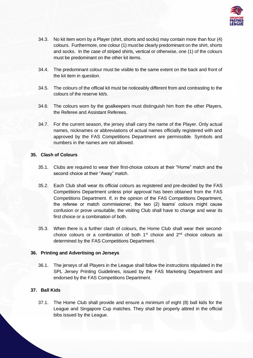

- 34.3. No kit item worn by a Player (shirt, shorts and socks) may contain more than four (4) colours. Furthermore, one colour (1) must be clearly predominant on the shirt, shorts and socks. In the case of striped shirts, vertical or otherwise, one (1) of the colours must be predominant on the other kit items.
- 34.4. The predominant colour must be visible to the same extent on the back and front of the kit item in question.
- 34.5. The colours of the official kit must be noticeably different from and contrasting to the colours of the reserve kit/s.
- 34.6. The colours worn by the goalkeepers must distinguish him from the other Players, the Referee and Assistant Referees.
- 34.7. For the current season, the jersey shall carry the name of the Player. Only actual names, nicknames or abbreviations of actual names officially registered with and approved by the FAS Competitions Department are permissible. Symbols and numbers in the names are not allowed.

# **35. Clash of Colours**

- 35.1. Clubs are required to wear their first-choice colours at their "Home" match and the second choice at their "Away" match.
- 35.2. Each Club shall wear its official colours as registered and pre-decided by the FAS Competitions Department unless prior approval has been obtained from the FAS Competitions Department. If, in the opinion of the FAS Competitions Department, the referee or match commissioner, the two (2) teams' colours might cause confusion or prove unsuitable, the visiting Club shall have to change and wear its first choice or a combination of both.
- 35.3. When there is a further clash of colours, the Home Club shall wear their secondchoice colours or a combination of both  $1<sup>st</sup>$  choice and  $2<sup>nd</sup>$  choice colours as determined by the FAS Competitions Department.

# **36. Printing and Advertising on Jerseys**

36.1. The jerseys of all Players in the League shall follow the instructions stipulated in the SPL Jersey Printing Guidelines, issued by the FAS Marketing Department and endorsed by the FAS Competitions Department.

# **37. Ball Kids**

37.1. The Home Club shall provide and ensure a minimum of eight (8) ball kids for the League and Singapore Cup matches. They shall be properly attired in the official bibs issued by the League.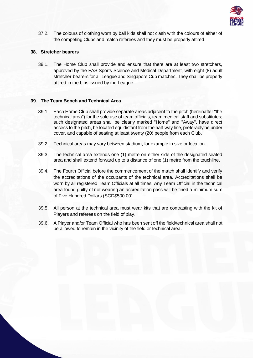

37.2. The colours of clothing worn by ball kids shall not clash with the colours of either of the competing Clubs and match referees and they must be properly attired.

# **38. Stretcher bearers**

38.1. The Home Club shall provide and ensure that there are at least two stretchers, approved by the FAS Sports Science and Medical Department, with eight (8) adult stretcher-bearers for all League and Singapore Cup matches. They shall be properly attired in the bibs issued by the League.

# **39. The Team Bench and Technical Area**

- 39.1. Each Home Club shall provide separate areas adjacent to the pitch (hereinafter "the technical area") for the sole use of team officials, team medical staff and substitutes; such designated areas shall be clearly marked "Home" and "Away", have direct access to the pitch, be located equidistant from the half-way line, preferably be under cover, and capable of seating at least twenty (20) people from each Club.
- 39.2. Technical areas may vary between stadium, for example in size or location.
- 39.3. The technical area extends one (1) metre on either side of the designated seated area and shall extend forward up to a distance of one (1) metre from the touchline.
- 39.4. The Fourth Official before the commencement of the match shall identify and verify the accreditations of the occupants of the technical area. Accreditations shall be worn by all registered Team Officials at all times. Any Team Official in the technical area found guilty of not wearing an accreditation pass will be fined a minimum sum of Five Hundred Dollars (SGD\$500.00).
- 39.5. All person at the technical area must wear kits that are contrasting with the kit of Players and referees on the field of play.
- 39.6. A Player and/or Team Official who has been sent off the field/technical area shall not be allowed to remain in the vicinity of the field or technical area.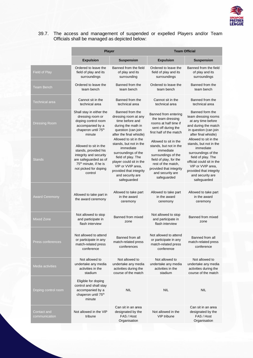

# 39.7. The access and management of suspended or expelled Players and/or Team Officials shall be managed as depicted below:

|                              | <b>Player</b>                                                                                                                                                             |                                                                                                                                                                                                                         | <b>Team Official</b>                                                                                                                                                                              |                                                                                                                                                                                                                           |
|------------------------------|---------------------------------------------------------------------------------------------------------------------------------------------------------------------------|-------------------------------------------------------------------------------------------------------------------------------------------------------------------------------------------------------------------------|---------------------------------------------------------------------------------------------------------------------------------------------------------------------------------------------------|---------------------------------------------------------------------------------------------------------------------------------------------------------------------------------------------------------------------------|
|                              | <b>Expulsion</b>                                                                                                                                                          | <b>Suspension</b>                                                                                                                                                                                                       | <b>Expulsion</b>                                                                                                                                                                                  | <b>Suspension</b>                                                                                                                                                                                                         |
| <b>Field of Play</b>         | Ordered to leave the<br>field of play and its<br>surroundings                                                                                                             | Banned from the field<br>of play and its<br>surrounding                                                                                                                                                                 | Ordered to leave the<br>field of play and its<br>surroundings                                                                                                                                     | Banned from the field<br>of play and its<br>surroundings                                                                                                                                                                  |
| <b>Team Bench</b>            | Ordered to leave the<br>team bench                                                                                                                                        | Banned from the<br>team bench                                                                                                                                                                                           | Ordered to leave the<br>team bench                                                                                                                                                                | Banned from the<br>team bench                                                                                                                                                                                             |
| <b>Technical area</b>        | Cannot sit in the<br>technical area                                                                                                                                       | Banned from the<br>technical area                                                                                                                                                                                       | Cannot sit in the<br>technical area                                                                                                                                                               | Banned from the<br>technical area                                                                                                                                                                                         |
| <b>Dressing Room</b>         | Shall stay in either the<br>dressing room or<br>doping control room<br>accompanied by a<br>chaperon until 75 <sup>th</sup><br>minute                                      | Banned from the<br>dressing room at any<br>time before and<br>during the math in<br>question (can join<br>after the final whistle)                                                                                      | Banned from entering<br>the team dressing<br>rooms at half time if<br>sent off during the<br>first half of the match                                                                              | Banned form the<br>team dressing rooms<br>at any time before<br>and during the match<br>in question (can join<br>after final whistle)                                                                                     |
| <b>Stands</b>                | Allowed to sit in the<br>stands, provided his<br>integrity and security<br>are safeguarded as of<br>75 <sup>th</sup> minute, if he is<br>not picked for doping<br>control | Allowed to sit in the<br>stands, but not in the<br>immediate<br>surroundings of the<br>field of play. The<br>player could sit in the<br>VIP or VVIP area.<br>provided that integrity<br>and security are<br>safeguarded | Allowed to sit in the<br>stands, but not in the<br>immediate<br>surroundings of the<br>field of play, for the<br>rest of the match,<br>provided that integrity<br>and security are<br>safeguarded | Allowed to sit in the<br>stands, but not in the<br>immediate<br>surroundings of the<br>field of play. The<br>official could sit in the<br>VIP or VVIP area,<br>provided that integrity<br>and security are<br>safeguarded |
| <b>Award Ceremony</b>        | Allowed to take part in<br>the award ceremony                                                                                                                             | Allowed to take part<br>in the award<br>ceremony                                                                                                                                                                        | Allowed to take part<br>in the award<br>ceremony                                                                                                                                                  | Allowed to take part<br>in the award<br>ceremony                                                                                                                                                                          |
| <b>Mixed Zone</b>            | Not allowed to stop<br>and participate in<br>flash interview                                                                                                              | Banned from mixed<br>zone                                                                                                                                                                                               | Not allowed to stop<br>and participate in<br>flash interview                                                                                                                                      | Banned from mixed<br>zone                                                                                                                                                                                                 |
| Press conferences            | Not allowed to attend<br>or participate in any<br>match-related press<br>conference                                                                                       | Banned from all<br>match-related press<br>conferences                                                                                                                                                                   | Not allowed to attend<br>or participate in any<br>match-related press<br>conference                                                                                                               | Banned from all<br>match-related press<br>conference                                                                                                                                                                      |
| <b>Media activities</b>      | Not allowed to<br>undertake any media<br>activities in the<br>stadium                                                                                                     | Not allowed to<br>undertake any media<br>activities during the<br>course of the match                                                                                                                                   | Not allowed to<br>undertake any media<br>activities in the<br>stadium                                                                                                                             | Not allowed to<br>undertake any media<br>activities during the<br>course of the match                                                                                                                                     |
| Doping control room          | Eligible for doping<br>control and shall stay<br>accompanied by a<br>chaperon until 75 <sup>th</sup><br>minute                                                            | <b>NIL</b>                                                                                                                                                                                                              | <b>NIL</b>                                                                                                                                                                                        | <b>NIL</b>                                                                                                                                                                                                                |
| Contact and<br>communication | Not allowed in the VIP<br>tribune                                                                                                                                         | Can sit in an area<br>designated by the<br>FAS / Host<br>Organisation                                                                                                                                                   | Not allowed in the<br><b>VIP</b> tribune                                                                                                                                                          | Can sit in an area<br>designated by the<br>FAS / Host<br>Organisation                                                                                                                                                     |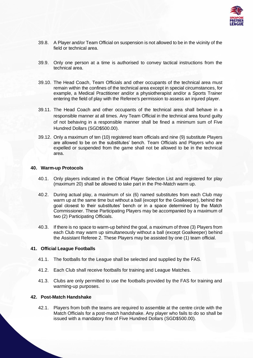

- 39.8. A Player and/or Team Official on suspension is not allowed to be in the vicinity of the field or technical area.
- 39.9. Only one person at a time is authorised to convey tactical instructions from the technical area.
- 39.10. The Head Coach, Team Officials and other occupants of the technical area must remain within the confines of the technical area except in special circumstances, for example, a Medical Practitioner and/or a physiotherapist and/or a Sports Trainer entering the field of play with the Referee's permission to assess an injured player.
- 39.11. The Head Coach and other occupants of the technical area shall behave in a responsible manner at all times. Any Team Official in the technical area found guilty of not behaving in a responsible manner shall be fined a minimum sum of Five Hundred Dollars (SGD\$500.00).
- 39.12. Only a maximum of ten (10) registered team officials and nine (9) substitute Players are allowed to be on the substitutes' bench. Team Officials and Players who are expelled or suspended from the game shall not be allowed to be in the technical area.

### **40. Warm-up Protocols**

- 40.1. Only players indicated in the Official Player Selection List and registered for play (maximum 20) shall be allowed to take part in the Pre-Match warm up.
- 40.2. During actual play, a maximum of six (6) named substitutes from each Club may warm up at the same time but without a ball (except for the Goalkeeper), behind the goal closest to their substitutes' bench or in a space determined by the Match Commissioner. These Participating Players may be accompanied by a maximum of two (2) Participating Officials.
- 40.3. If there is no space to warm-up behind the goal, a maximum of three (3) Players from each Club may warm up simultaneously without a ball (except Goalkeeper) behind the Assistant Referee 2. These Players may be assisted by one (1) team official.

### **41. Official League Footballs**

- 41.1. The footballs for the League shall be selected and supplied by the FAS.
- 41.2. Each Club shall receive footballs for training and League Matches.
- 41.3. Clubs are only permitted to use the footballs provided by the FAS for training and warming-up purposes.

### **42. Post-Match Handshake**

42.1. Players from both the teams are required to assemble at the centre circle with the Match Officials for a post-match handshake. Any player who fails to do so shall be issued with a mandatory fine of Five Hundred Dollars (SGD\$500.00).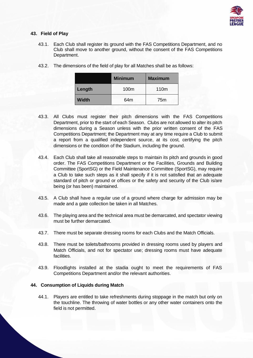

# **43. Field of Play**

43.1. Each Club shall register its ground with the FAS Competitions Department, and no Club shall move to another ground, without the consent of the FAS Competitions Department.

|        | <b>Minimum</b>  | <b>Maximum</b>   |
|--------|-----------------|------------------|
| Length | 100m            | 110 <sub>m</sub> |
| Width  | 64 <sub>m</sub> | 75m              |

43.2. The dimensions of the field of play for all Matches shall be as follows:

- 43.3. All Clubs must register their pitch dimensions with the FAS Competitions Department, prior to the start of each Season. Clubs are not allowed to alter its pitch dimensions during a Season unless with the prior written consent of the FAS Competitions Department; the Department may at any time require a Club to submit a report from a qualified independent source, at its cost, certifying the pitch dimensions or the condition of the Stadium, including the ground.
- 43.4. Each Club shall take all reasonable steps to maintain its pitch and grounds in good order. The FAS Competitions Department or the Facilities, Grounds and Building Committee (SportSG) or the Field Maintenance Committee (SportSG), may require a Club to take such steps as it shall specify if it is not satisfied that an adequate standard of pitch or ground or offices or the safety and security of the Club is/are being (or has been) maintained.
- 43.5. A Club shall have a regular use of a ground where charge for admission may be made and a gate collection be taken in all Matches.
- 43.6. The playing area and the technical area must be demarcated, and spectator viewing must be further demarcated.
- 43.7. There must be separate dressing rooms for each Clubs and the Match Officials.
- 43.8. There must be toilets/bathrooms provided in dressing rooms used by players and Match Officials, and not for spectator use; dressing rooms must have adequate facilities.
- 43.9. Floodlights installed at the stadia ought to meet the requirements of FAS Competitions Department and/or the relevant authorities.

# **44. Consumption of Liquids during Match**

44.1. Players are entitled to take refreshments during stoppage in the match but only on the touchline. The throwing of water bottles or any other water containers onto the field is not permitted.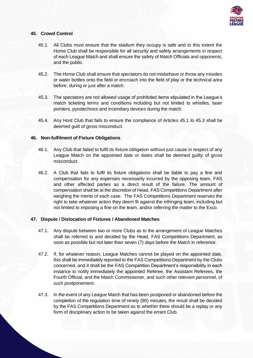

# **45. Crowd Control**

- 45.1. All Clubs must ensure that the stadium they occupy is safe and to this extent the Home Club shall be responsible for all security and safety arrangements in respect of each League Match and shall ensure the safety of Match Officials and opponents, and the public.
- 45.2. The Home Club shall ensure that spectators do not misbehave or throw any missiles or water bottles onto the field or encroach into the field of play or the technical area before, during or just after a match.
- 45.3. The spectators are not allowed usage of prohibited items stipulated in the League's match ticketing terms and conditions including but not limited to whistles, laser pointers, pyrotechnics and incendiary devices during the match.
- 45.4. Any Host Club that fails to ensure the compliance of Articles 45.1 to 45.3 shall be deemed guilt of gross misconduct.

# **46. Non-fulfilment of Fixture Obligations**

- 46.1. Any Club that failed to fulfil its fixture obligation without just cause in respect of any League Match on the appointed date or dates shall be deemed guilty of gross misconduct.
- 46.2. A Club that fails to fulfil its fixture obligations shall be liable to pay a fine and compensation for any expenses necessarily incurred by the opposing team, FAS and other affected parties as a direct result of the failure. The amount of compensation shall be at the discretion of Head, FAS Competitions Department after weighing the merits of each case. The FAS Competitions Department reserves the right to take whatever action they deem fit against the infringing team, including but not limited to imposing a fine on the team, and/or referring the matter to the Exco.

### **47. Dispute / Dislocation of Fixtures / Abandoned Matches**

- 47.1. Any dispute between two or more Clubs as to the arrangement of League Matches shall be referred to and decided by the Head, FAS Competitions Department, as soon as possible but not later than seven (7) days before the Match in reference.
- 47.2. If, for whatever reason, League Matches cannot be played on the appointed date, this shall be immediately reported to the FAS Competitions Department by the Clubs concerned, and it shall be the FAS Competition Department's responsibility in each instance to notify immediately the appointed Referee, the Assistant Referees, the Fourth Official, and the Match Commissioner, and such other relevant personnel, of such postponement.
- 47.3. In the event of any League Match that has been postponed or abandoned before the completion of the regulation time of ninety (90) minutes, the result shall be decided by the FAS Competitions Department as to whether there should be a replay or any form of disciplinary action to be taken against the errant Club.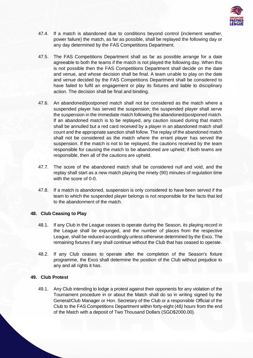

- 47.4. If a match is abandoned due to conditions beyond control (inclement weather, power failure) the match, as far as possible, shall be replayed the following day or any day determined by the FAS Competitions Department.
- 47.5. The FAS Competitions Department shall as far as possible arrange for a date agreeable to both the teams if the match is not played the following day. When this is not possible then the FAS Competitions Department shall decide on the date and venue, and whose decision shall be final. A team unable to play on the date and venue decided by the FAS Competitions Department shall be considered to have failed to fulfil an engagement or play its fixtures and liable to disciplinary action. The decision shall be final and binding.
- 47.6. An abandoned/postponed match shall not be considered as the match where a suspended player has served the suspension; the suspended player shall serve the suspension in the immediate match following the abandoned/postponed match. If an abandoned match is to be replayed, any caution issued during that match shall be annulled but a red card received by a player in an abandoned match shall count and the appropriate sanction shall follow. The replay of the abandoned match shall not be considered as the match where the errant player has served the suspension. If the match is not to be replayed, the cautions received by the team responsible for causing the match to be abandoned are upheld; if both teams are responsible, then all of the cautions are upheld.
- 47.7. The score of the abandoned match shall be considered null and void, and the replay shall start as a new match playing the ninety (90) minutes of regulation time with the score of 0-0.
- 47.8. If a match is abandoned, suspension is only considered to have been served if the team to which the suspended player belongs is not responsible for the facts that led to the abandonment of the match.

# **48. Club Ceasing to Play**

- 48.1. If any Club in the League ceases to operate during the Season, its playing record in the League shall be expunged, and the number of places from the respective League, shall be reduced accordingly unless otherwise determined by the Exco. The remaining fixtures if any shall continue without the Club that has ceased to operate.
- 48.2. If any Club ceases to operate after the completion of the Season's fixture programme, the Exco shall determine the position of the Club without prejudice to any and all rights it has.

# **49. Club Protest**

49.1. Any Club intending to lodge a protest against their opponents for any violation of the Tournament procedure in or about the Match shall do so in writing signed by the General/Club Manager or Hon. Secretary of the Club or a responsible Official of the Club to the FAS Competitions Department within forty-eight (48*)* hours from the end of the Match with a deposit of Two Thousand Dollars (SGD\$2000.00).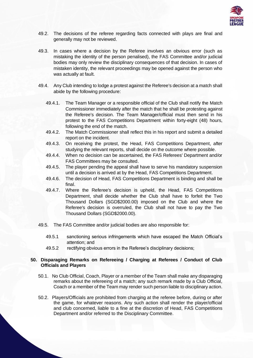

- 49.2. The decisions of the referee regarding facts connected with plays are final and generally may not be reviewed.
- 49.3. In cases where a decision by the Referee involves an obvious error (such as mistaking the identity of the person penalised), the FAS Committee and/or judicial bodies may only review the disciplinary consequences of that decision. In cases of mistaken identity, the relevant proceedings may be opened against the person who was actually at fault.
- 49.4. Any Club intending to lodge a protest against the Referee's decision at a match shall abide by the following procedure:
	- 49.4.1. The Team Manager or a responsible official of the Club shall notify the Match Commissioner immediately after the match that he shall be protesting against the Referee's decision. The Team Manager/official must then send in his protest to the FAS Competitions Department within forty-eight (48) hours, following the end of the match.
	- 49.4.2. The Match Commissioner shall reflect this in his report and submit a detailed report on the incident.
	- 49.4.3. On receiving the protest, the Head, FAS Competitions Department, after studying the relevant reports, shall decide on the outcome where possible.
	- 49.4.4. When no decision can be ascertained, the FAS Referees' Department and/or FAS Committees may be consulted.
	- 49.4.5. The player pending the appeal shall have to serve his mandatory suspension until a decision is arrived at by the Head, FAS Competitions Department.
	- 49.4.6. The decision of Head, FAS Competitions Department is binding and shall be final.
	- 49.4.7. Where the Referee's decision is upheld, the Head, FAS Competitions Department, shall decide whether the Club shall have to forfeit the Two Thousand Dollars (SGD\$2000.00) imposed on the Club and where the Referee's decision is overruled, the Club shall not have to pay the Two Thousand Dollars (SGD\$2000.00).
- 49.5. The FAS Committee and/or judicial bodies are also responsible for:
	- 49.5.1 sanctioning serious infringements which have escaped the Match Official's attention; and
	- 49.5.2 rectifying obvious errors in the Referee's disciplinary decisions;

### **50. Disparaging Remarks on Refereeing / Charging at Referees / Conduct of Club Officials and Players**

- 50.1. No Club Official, Coach, Player or a member of the Team shall make any disparaging remarks about the refereeing of a match; any such remark made by a Club Official, Coach or a member of the Team may render such person liable to disciplinary action.
- 50.2. Players/Officials are prohibited from charging at the referee before, during or after the game, for whatever reasons. Any such action shall render the player/official and club concerned, liable to a fine at the discretion of Head, FAS Competitions Department and/or referred to the Disciplinary Committee.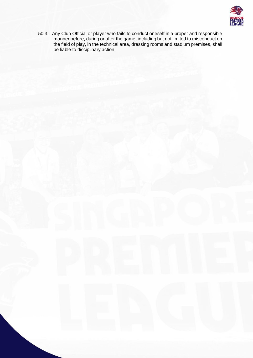

50.3. Any Club Official or player who fails to conduct oneself in a proper and responsible manner before, during or after the game, including but not limited to misconduct on the field of play, in the technical area, dressing rooms and stadium premises, shall be liable to disciplinary action.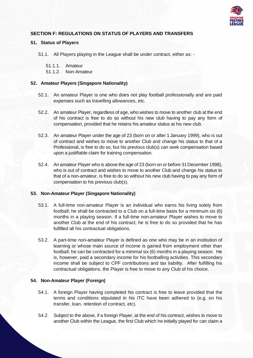

# **SECTION F: REGULATIONS ON STATUS OF PLAYERS AND TRANSFERS**

# **51. Status of Players**

51.1. All Players playing in the League shall be under contract, either as: -

51.1.1. Amateur

51.1.2. Non-Amateur

# **52. Amateur Players (Singapore Nationality)**

- 52.1. An amateur Player is one who does not play football professionally and are paid expenses such as travelling allowances, etc.
- 52.2. An amateur Player, regardless of age, who wishes to move to another club at the end of his contract is free to do so without his new club having to pay any form of compensation, provided that he retains his amateur status at his new club.
- 52.3. An amateur Player under the age of 23 (born on or after 1 January 1999), who is out of contract and wishes to move to another Club and change his status to that of a Professional, is free to do so, but his previous club(s) can seek compensation based upon a justifiable claim for training compensation.
- 52.4. An amateur Player who is above the age of 23 (born on or before 31 December 1998), who is out of contract and wishes to move to another Club and change his status to that of a non-amateur, is free to do so without his new club having to pay any form of compensation to his previous club(s).

### **53. Non-Amateur Player (Singapore Nationality)**

- 53.1. A full-time non-amateur Player is an individual who earns his living solely from football; he shall be contracted to a Club on a full-time basis for a minimum six (6) months in a playing season. If a full-time non-amateur Player wishes to move to another Club at the end of his contract, he is free to do so provided that he has fulfilled all his contractual obligations.
- 53.2. A part-time non-amateur Player is defined as one who may be in an institution of learning or whose main source of income is gained from employment other than football; he can be contracted for a minimal six (6) months in a playing season. He is, however, paid a secondary income for his footballing activities. This secondary income shall be subject to CPF contributions and tax liability. After fulfilling his contractual obligations, the Player is free to move to any Club of his choice.

# **54. Non-Amateur Player (Foreign)**

- 54.1. A foreign Player having completed his contract is free to leave provided that the terms and conditions stipulated in his ITC have been adhered to (e.g. on his transfer, loan, retention of contract, etc).
- 54.2. Subject to the above, if a foreign Player, at the end of his contract, wishes to move to another Club within the League, the first Club which he initially played for can claim a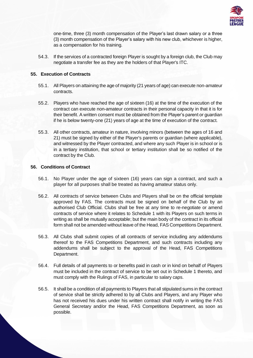

one-time, three (3) month compensation of the Player's last drawn salary or a three (3) month compensation of the Player's salary with his new club, whichever is higher, as a compensation for his training.

54.3. If the services of a contracted foreign Player is sought by a foreign club, the Club may negotiate a transfer fee as they are the holders of that Player's ITC.

# **55. Execution of Contracts**

- 55.1. All Players on attaining the age of majority (21 years of age) can execute non-amateur contracts.
- 55.2. Players who have reached the age of sixteen (16) at the time of the execution of the contract can execute non-amateur contracts in their personal capacity in that it is for their benefit. A written consent must be obtained from the Player's parent or guardian if he is below twenty-one (21) years of age at the time of execution of the contract.
- 55.3. All other contracts, amateur in nature, involving minors (between the ages of 16 and 21) must be signed by either of the Player's parents or guardian (where applicable), and witnessed by the Player contracted, and where any such Player is in school or is in a tertiary institution, that school or tertiary institution shall be so notified of the contract by the Club.

# **56. Conditions of Contract**

- 56.1. No Player under the age of sixteen (16) years can sign a contract, and such a player for all purposes shall be treated as having amateur status only.
- 56.2. All contracts of service between Clubs and Players shall be on the official template approved by FAS. The contracts must be signed on behalf of the Club by an authorised Club Official. Clubs shall be free at any time to re-negotiate or amend contracts of service where it relates to Schedule 1 with its Players on such terms in writing as shall be mutually acceptable; but the main body of the contract in its official form shall not be amended without leave of the Head, FAS Competitions Department.
- 56.3. All Clubs shall submit copies of all contracts of service including any addendums thereof to the FAS Competitions Department, and such contracts including any addendums shall be subject to the approval of the Head, FAS Competitions Department.
- 56.4. Full details of all payments to or benefits paid in cash or in kind on behalf of Players must be included in the contract of service to be set out in Schedule 1 thereto, and must comply with the Rulings of FAS, in particular to salary caps.
- 56.5. It shall be a condition of all payments to Players that all stipulated sums in the contract of service shall be strictly adhered to by all Clubs and Players, and any Player who has not received his dues under his written contract shall notify in writing the FAS General Secretary and/or the Head, FAS Competitions Department, as soon as possible.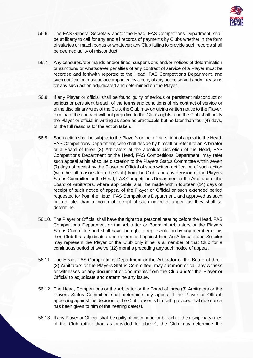

- 56.6. The FAS General Secretary and/or the Head, FAS Competitions Department, shall be at liberty to call for any and all records of payments by Clubs whether in the form of salaries or match bonus or whatever; any Club failing to provide such records shall be deemed guilty of misconduct.
- 56.7. Any censures/reprimands and/or fines, suspensions and/or notices of determination or sanctions or whatsoever penalties of any contract of service of a Player must be recorded and forthwith reported to the Head, FAS Competitions Department, and such notification must be accompanied by a copy of any notice served and/or reasons for any such action adjudicated and determined on the Player.
- 56.8. If any Player or official shall be found guilty of serious or persistent misconduct or serious or persistent breach of the terms and conditions of his contract of service or of the disciplinary rules of the Club, the Club may on giving written notice to the Player, terminate the contract without prejudice to the Club's rights, and the Club shall notify the Player or official in writing as soon as practicable but no later than four (4) days, of the full reasons for the action taken.
- 56.9. Such action shall be subject to the Player's or the official's right of appeal to the Head, FAS Competitions Department, who shall decide by himself or refer it to an Arbitrator or a Board of three (3) Arbitrators at the absolute discretion of the Head, FAS Competitions Department or the Head, FAS Competitions Department, may refer such appeal at his absolute discretion to the Players Status Committee within seven (7) days of receipt by the Player or Official of such written notification of such action (with the full reasons from the Club) from the Club, and any decision of the Players Status Committee or the Head, FAS Competitions Department or the Arbitrator or the Board of Arbitrators, where applicable, shall be made within fourteen (14) days of receipt of such notice of appeal of the Player or Official or such extended period requested for from the Head, FAS Competitions Department, and approved as such but no later than a month of receipt of such notice of appeal as they shall so determine.
- 56.10. The Player or Official shall have the right to a personal hearing before the Head, FAS Competitions Department or the Arbitrator or Board of Arbitrators or the Players Status Committee and shall have the right to representation by any member of his then Club that adjudicated and determined against him. An Advocate and Solicitor may represent the Player or the Club only if he is a member of that Club for a continuous period of twelve (12) months preceding any such notice of appeal.
- 56.11. The Head, FAS Competitions Department or the Arbitrator or the Board of three (3) Arbitrators or the Players Status Committee, may summon or call any witness or witnesses or any document or documents from the Club and/or the Player or Official to adjudicate and determine any issue.
- 56.12. The Head, Competitions or the Arbitrator or the Board of three (3) Arbitrators or the Players Status Committee shall determine any appeal if the Player or Official, appealing against the decision of the Club, absents himself, provided that due notice has been given to him of the hearing date(s).
- 56.13. If any Player or Official shall be guilty of misconduct or breach of the disciplinary rules of the Club (other than as provided for above), the Club may determine the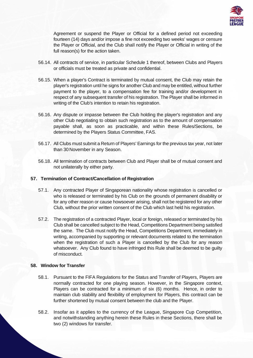

Agreement or suspend the Player or Official for a defined period not exceeding fourteen (14) days and/or impose a fine not exceeding two weeks' wages or censure the Player or Official, and the Club shall notify the Player or Official in writing of the full reason(s) for the action taken.

- 56.14. All contracts of service, in particular Schedule 1 thereof, between Clubs and Players or officials must be treated as private and confidential.
- 56.15. When a player's Contract is terminated by mutual consent, the Club may retain the player's registration until he signs for another Club and may be entitled, without further payment to the player, to a compensation fee for training and/or development in respect of any subsequent transfer of his registration. The Player shall be informed in writing of the Club's intention to retain his registration.
- 56.16. Any dispute or impasse between the Club holding the player's registration and any other Club negotiating to obtain such registration as to the amount of compensation payable shall, as soon as practicable, and within these Rules/Sections, be determined by the Players Status Committee, FAS.
- 56.17. All Clubs must submit a Return of Players' Earnings for the previous tax year, not later than 30 November in any Season.
- 56.18. All termination of contracts between Club and Player shall be of mutual consent and not unilaterally by either party.

### **57. Termination of Contract/Cancellation of Registration**

- 57.1. Any contracted Player of Singaporean nationality whose registration is cancelled or who is released or terminated by his Club on the grounds of permanent disability or for any other reason or cause howsoever arising, shall not be registered for any other Club, without the prior written consent of the Club which last held his registration.
- 57.2. The registration of a contracted Player, local or foreign, released or terminated by his Club shall be cancelled subject to the Head, Competitions Department being satisfied the same. The Club must notify the Head, Competitions Department, immediately in writing, accompanied by supporting or relevant documents related to the termination when the registration of such a Player is cancelled by the Club for any reason whatsoever. Any Club found to have infringed this Rule shall be deemed to be guilty of misconduct.

# **58. Window for Transfer**

- 58.1. Pursuant to the FIFA Regulations for the Status and Transfer of Players, Players are normally contracted for one playing season. However, in the Singapore context, Players can be contracted for a minimum of six (6) months. Hence, in order to maintain club stability and flexibility of employment for Players, this contract can be further shortened by mutual consent between the club and the Player.
- 58.2. Insofar as it applies to the currency of the League, Singapore Cup Competition, and notwithstanding anything herein these Rules in these Sections, there shall be two (2) windows for transfer.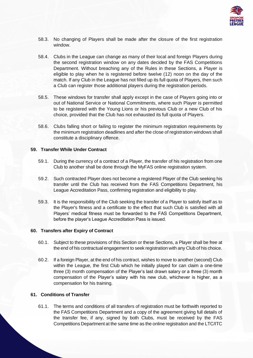

- 58.3. No changing of Players shall be made after the closure of the first registration window.
- 58.4. Clubs in the League can change as many of their local and foreign Players during the second registration window on any dates decided by the FAS Competitions Department. Without breaching any of the Rules in these Sections, a Player is eligible to play when he is registered before twelve (12) noon on the day of the match. If any Club in the League has not filled up its full quota of Players, then such a Club can register those additional players during the registration periods.
- 58.5. These windows for transfer shall apply except in the case of Players going into or out of National Service or National Commitments, where such Player is permitted to be registered with the Young Lions or his previous Club or a new Club of his choice, provided that the Club has not exhausted its full quota of Players.
- 58.6. Clubs falling short or failing to register the minimum registration requirements by the minimum registration deadlines and after the close of registration windows shall constitute a disciplinary offence.

### **59. Transfer While Under Contract**

- 59.1. During the currency of a contract of a Player, the transfer of his registration from one Club to another shall be done through the MyFAS online registration system.
- 59.2. Such contracted Player does not become a registered Player of the Club seeking his transfer until the Club has received from the FAS Competitions Department, his League Accreditation Pass, confirming registration and eligibility to play.
- 59.3. It is the responsibility of the Club seeking the transfer of a Player to satisfy itself as to the Player's fitness and a certificate to the effect that such Club is satisfied with all Players' medical fitness must be forwarded to the FAS Competitions Department, before the player's League Accreditation Pass is issued.

# **60. Transfers after Expiry of Contract**

- 60.1. Subject to these provisions of this Section or these Sections, a Player shall be free at the end of his contractual engagement to seek registration with any Club of his choice.
- 60.2. If a foreign Player, at the end of his contract, wishes to move to another (second) Club within the League, the first Club which he initially played for can claim a one-time three (3) month compensation of the Player's last drawn salary or a three (3) month compensation of the Player's salary with his new club, whichever is higher, as a compensation for his training.

# **61. Conditions of Transfer**

61.1. The terms and conditions of all transfers of registration must be forthwith reported to the FAS Competitions Department and a copy of the agreement giving full details of the transfer fee, if any, signed by both Clubs, must be received by the FAS Competitions Department at the same time as the online registration and the LTC/ITC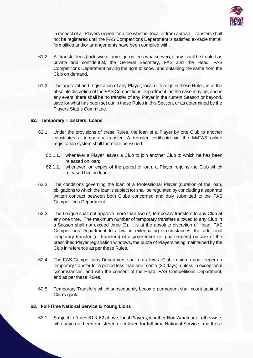

in respect of all Players signed for a fee whether local or from abroad. Transfers shall not be registered until the FAS Competitions Department is satisfied ex-facie that all formalities and/or arrangements have been complied with.

- 61.2. All transfer fees (inclusive of any sign-on fees whatsoever), if any, shall be treated as private and confidential, the General Secretary, FAS and the Head, FAS Competitions Department having the right to know, and obtaining the same from the Club on demand.
- 61.3. The approval and registration of any Player, local or foreign in these Rules, is at the absolute discretion of the FAS Competitions Department, as the case may be, and in any event, there shall be no transfer of any Player in the current Season or beyond, save for what has been set out in these Rules in this Section, or as determined by the Players Status Committee.

# **62. Temporary Transfers: Loans**

- 62.1. Under the provisions of these Rules, the loan of a Player by one Club to another constitutes a temporary transfer. A transfer certificate via the MyFAS online registration system shall therefore be issued:
	- 62.1.1. whenever a Player leaves a Club to join another Club to which he has been released on loan;
	- 62.1.2. whenever, on expiry of the period of loan, a Player re-joins the Club which released him on loan.
- 62.2. The conditions governing the loan of a Professional Player (duration of the loan, obligations to which the loan is subject to) shall be regulated by concluding a separate written contract between both Clubs concerned and duly submitted to the FAS Competitions Department.
- 62.3. The League shall not approve more than two (2) temporary transfers to any Club at any one time. The maximum number of temporary transfers allowed to any Club in a Season shall not exceed three (3). It is at the absolute discretion of Head, FAS Competitions Department to allow, in extenuating circumstances, the additional temporary transfer (or transfers) of a goalkeeper (or goalkeepers) outside of the prescribed Player registration windows, the quota of Players being maintained by the Club in reference as per these Rules.
- 62.4. The FAS Competitions Department shall not allow a Club to sign a goalkeeper on temporary transfer for a period less than one month (30 days), unless in exceptional circumstances, and with the consent of the Head, FAS Competitions Department, and as per these Rules.
- 62.5. Temporary Transfers which subsequently become permanent shall count against a Club's quota.

# **63. Full-Time National Service & Young Lions**

63.1. Subject to Rules 61 & 62 above, local Players, whether Non-Amateur or otherwise, who have not been registered or enlisted for full-time National Service, and those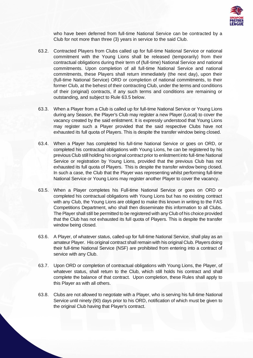

who have been deferred from full-time National Service can be contracted by a Club for not more than three (3) years in service to the said Club.

- 63.2. Contracted Players from Clubs called up for full-time National Service or national commitment with the Young Lions shall be released (temporarily) from their contractual obligations during their term of (full-time) National Service and national commitments. Upon completion of all full-time National Service and national commitments, these Players shall return immediately (the next day), upon their (full-time National Service) ORD or completion of national commitments, to their former Club, at the behest of their contracting Club, under the terms and conditions of their (original) contracts, if any such terms and conditions are remaining or outstanding, and subject to Rule 63.5 below.
- 63.3. When a Player from a Club is called up for full-time National Service or Young Lions during any Season, the Player's Club may register a new Player (Local) to cover the vacancy created by the said enlistment. It is expressly understood that Young Lions may register such a Player provided that the said respective Clubs have not exhausted its full quota of Players. This is despite the transfer window being closed.
- 63.4. When a Player has completed his full-time National Service or goes on ORD, or completed his contractual obligations with Young Lions, he can be registered by his previous Club still holding his original contract prior to enlistment into full-time National Service or registration by Young Lions, provided that the previous Club has not exhausted its full quota of Players. This is despite the transfer window being closed. In such a case, the Club that the Player was representing whilst performing full-time National Service or Young Lions may register another Player to cover the vacancy.
- 63.5. When a Player completes his Full-time National Service or goes on ORD or completed his contractual obligations with Young Lions but has no existing contract with any Club, the Young Lions are obliged to make this known in writing to the FAS Competitions Department, who shall then disseminate this information to all Clubs. The Player shall still be permitted to be registered with any Club of his choice provided that the Club has not exhausted its full quota of Players. This is despite the transfer window being closed.
- 63.6. A Player, of whatever status, called-up for full-time National Service, shall play as an amateur Player. His original contract shall remain with his original Club. Players doing their full-time National Service (NSF) are prohibited from entering into a contract of service with any Club.
- 63.7. Upon ORD or completion of contractual obligations with Young Lions, the Player, of whatever status, shall return to the Club, which still holds his contract and shall complete the balance of that contract. Upon completion, these Rules shall apply to this Player as with all others.
- 63.8. Clubs are not allowed to negotiate with a Player, who is serving his full-time National Service until ninety (90) days prior to his ORD, notification of which must be given to the original Club having that Player's contract.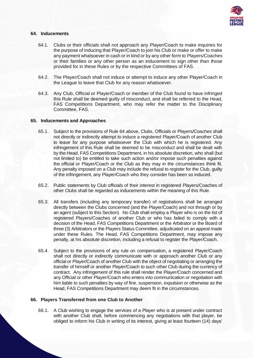

# **64. Inducements**

- 64.1. Clubs or their officials shall not approach any Player/Coach to make inquiries for the purpose of inducing that Player/Coach to join his Club or make or offer to make any payment whatsoever in cash or in kind or by any other form to Players/Coaches or their families or any other person as an inducement to sign other than those provided for in these Rules or by the respective Committees of FAS.
- 64.2. The Player/Coach shall not induce or attempt to induce any other Player/Coach in the League to leave that Club for any reason whatsoever.
- 64.3. Any Club, Official or Player/Coach or member of the Club found to have infringed this Rule shall be deemed guilty of misconduct, and shall be referred to the Head, FAS Competitions Department, who may refer the matter to the Disciplinary Committee, FAS.

### **65. Inducements and Approaches**

- 65.1. Subject to the provisions of Rule 64 above, Clubs, Officials or Players/Coaches shall not directly or indirectly attempt to induce a registered Player/Coach of another Club to leave for any purpose whatsoever the Club with which he is registered. Any infringement of this Rule shall be deemed to be misconduct and shall be dealt with by the Head, FAS Competitions Department, in his absolute discretion, who shall (but not limited to) be entitled to take such action and/or impose such penalties against the official or Player/Coach or the Club as they may in the circumstances think fit. Any penalty imposed on a Club may include the refusal to register for the Club, guilty of the infringement, any Player/Coach who they consider has been so induced.
- 65.2. Public statements by Club officials of their interest in registered Players/Coaches of other Clubs shall be regarded as inducements within the meaning of this Rule.
- 65.3. All transfers (including any temporary transfer) of registrations shall be arranged directly between the Clubs concerned (and the Player/Coach) and not through or by an agent (subject to this Section). No Club shall employ a Player who is on the list of registered Players/Coaches of another Club or who has failed to comply with a decision of the Head, FAS Competitions Department or the Arbitrator or the Board of three (3) Arbitrators or the Players Status Committee, adjudicated on an appeal made under these Rules. The Head, FAS Competitions Department, may impose any penalty, at his absolute discretion, including a refusal to register the Player/Coach.
- 65.4. Subject to the provisions of any rule on compensation, a registered Player/Coach shall not directly or indirectly communicate with or approach another Club or any official or Player/Coach of another Club with the object of negotiating or arranging the transfer of himself or another Player/Coach to such other Club during the currency of contract. Any infringement of this rule shall render the Player/Coach concerned and any Official or other Player/Coach who enters into communication or negotiation with him liable to such penalties by way of fine, suspension, expulsion or otherwise as the Head, FAS Competitions Department may deem fit in the circumstances.

### **66. Players Transferred from one Club to Another**

66.1. A Club wishing to engage the services of a Player who is at present under contract with another Club shall, before commencing any negotiations with that player, be obliged to inform his Club in writing of its interest, giving at least fourteen (14) days'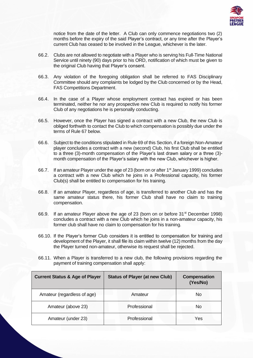

notice from the date of the letter. A Club can only commence negotiations two (2) months before the expiry of the said Player's contract, or any time after the Player's current Club has ceased to be involved in the League, whichever is the later.

- 66.2. Clubs are not allowed to negotiate with a Player who is serving his Full-Time National Service until ninety (90) days prior to his ORD, notification of which must be given to the original Club having that Player's consent.
- 66.3. Any violation of the foregoing obligation shall be referred to FAS Disciplinary Committee should any complaints be lodged by the Club concerned or by the Head, FAS Competitions Department.
- 66.4. In the case of a Player whose employment contract has expired or has been terminated, neither he nor any prospective new Club is required to notify his former Club of any negotiations he is personally conducting.
- 66.5. However, once the Player has signed a contract with a new Club, the new Club is obliged forthwith to contact the Club to which compensation is possibly due under the terms of Rule 67 below.
- 66.6. Subject to the conditions stipulated in Rule 69 of this Section, if a foreign Non-Amateur player concludes a contract with a new (second) Club, his first Club shall be entitled to a three (3)-month compensation of the Player's last drawn salary or a three (3) month compensation of the Player's salary with the new Club, whichever is higher.
- 66.7. If an amateur Player under the age of 23 (born on or after 1<sup>st</sup> January 1999) concludes a contract with a new Club which he joins in a Professional capacity, his former Club(s) shall be entitled to compensation for his training.
- 66.8. If an amateur Player, regardless of age, is transferred to another Club and has the same amateur status there, his former Club shall have no claim to training compensation.
- 66.9. If an amateur Player above the age of 23 (born on or before 31<sup>st</sup> December 1998) concludes a contract with a new Club which he joins in a non-amateur capacity, his former club shall have no claim to compensation for his training.
- 66.10. If the Player's former Club considers it is entitled to compensation for training and development of the Player, it shall file its claim within twelve (12) months from the day the Player turned non-amateur, otherwise its request shall be rejected.
- 66.11. When a Player is transferred to a new club, the following provisions regarding the payment of training compensation shall apply:

| <b>Current Status &amp; Age of Player</b> | <b>Status of Player (at new Club)</b> | <b>Compensation</b><br>(Yes/No) |
|-------------------------------------------|---------------------------------------|---------------------------------|
| Amateur (regardless of age)               | Amateur                               | No                              |
| Amateur (above 23)                        | Professional                          | No.                             |
| Amateur (under 23)                        | Professional                          | Yes                             |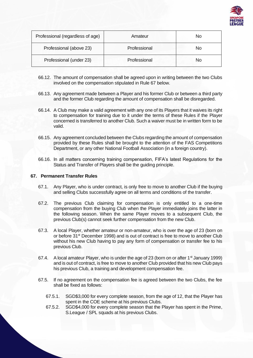

| Professional (regardless of age) | Amateur      | No |
|----------------------------------|--------------|----|
| Professional (above 23)          | Professional | No |
| Professional (under 23)          | Professional | No |

- 66.12. The amount of compensation shall be agreed upon in writing between the two Clubs involved on the compensation stipulated in Rule 67 below.
- 66.13. Any agreement made between a Player and his former Club or between a third party and the former Club regarding the amount of compensation shall be disregarded.
- 66.14. A Club may make a valid agreement with any one of its Players that it waives its right to compensation for training due to it under the terms of these Rules if the Player concerned is transferred to another Club. Such a waiver must be in written form to be valid.
- 66.15. Any agreement concluded between the Clubs regarding the amount of compensation provided by these Rules shall be brought to the attention of the FAS Competitions Department, or any other National Football Association (in a foreign country).
- 66.16. In all matters concerning training compensation, FIFA's latest Regulations for the Status and Transfer of Players shall be the guiding principle.

### **67. Permanent Transfer Rules**

- 67.1. Any Player, who is under contract, is only free to move to another Club if the buying and selling Clubs successfully agree on all terms and conditions of the transfer.
- 67.2. The previous Club claiming for compensation is only entitled to a one-time compensation from the buying Club when the Player immediately joins the latter in the following season. When the same Player moves to a subsequent Club, the previous Club(s) cannot seek further compensation from the new Club.
- 67.3. A local Player, whether amateur or non-amateur, who is over the age of 23 (born on or before 31st December 1998) and is out of contract is free to move to another Club without his new Club having to pay any form of compensation or transfer fee to his previous Club.
- 67.4. A local amateur Player, who is under the age of 23 (born on or after 1<sup>st</sup> January 1999) and is out of contract, is free to move to another Club provided that his new Club pays his previous Club, a training and development compensation fee.
- 67.5. If no agreement on the compensation fee is agreed between the two Clubs, the fee shall be fixed as follows:
	- 67.5.1. SGD\$3,000 for every complete season, from the age of 12, that the Player has spent in the COE scheme at his previous Clubs.
	- 67.5.2. SGD\$4,000 for every complete season that the Player has spent in the Prime, S.League / SPL squads at his previous Clubs.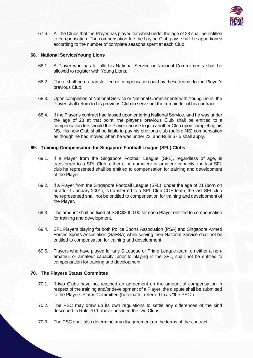

67.6. All the Clubs that the Player has played for whilst under the age of 23 shall be entitled to compensation. The compensation fee the buying Club pays shall be apportioned according to the number of complete seasons spent at each Club.

# **68. National Service/Young Lions**

- 68.1. A Player who has to fulfil his National Service or National Commitments shall be allowed to register with Young Lions.
- 68.2. There shall be no transfer fee or compensation paid by these teams to the Player's previous Club.
- 68.3. Upon completion of National Service or National Commitments with Young Lions, the Player shall return to his previous Club to serve out the remainder of his contract.
- 68.4. If the Player's contract had lapsed upon entering National Service, and he was under the age of 23 at that point, the player's previous Club shall be entitled to a compensation fee should the Player choose to join another Club upon completing his NS. His new Club shall be liable to pay his previous club (before NS) compensation as though he had moved when he was under 23, and Rule 67.5 shall apply.

# **69. Training Compensation for Singapore Football League (SFL) Clubs**

- 69.1. If a Player from the Singapore Football League (SFL), regardless of age, is transferred to a SPL Club, either a non-amateur or amateur capacity, the last SFL club he represented shall be entitled to compensation for training and development of the Player.
- 69.2. If a Player from the Singapore Football League (SFL), under the age of 21 (born on or after 1 January 2001), is transferred to a SPL Club COE team, the last SFL club he represented shall not be entitled to compensation for training and development of the Player.
- 69.3. The amount shall be fixed at SGD\$3000.00 for each Player entitled to compensation for training and development.
- 69.4. SFL Players playing for both Police Sports Association (PSA) and Singapore Armed Forces Sports Association (SAFSA) while serving their National Service shall not be entitled to compensation for training and development.
- 69.5. Players who have played for any S.League or Prime League team, on either a nonamateur or amateur capacity, prior to playing in the SFL, shall not be entitled to compensation for training and development.

### **70. The Players Status Committee**

- 70.1. If two Clubs have not reached an agreement on the amount of compensation in respect of the training and/or development of a Player, the dispute shall be submitted to the Players Status Committee (hereinafter referred to as "the PSC").
- 70.2. The PSC may draw up its own regulations to settle any differences of the kind described in Rule 70.1 above between the two Clubs.
- 70.3. The PSC shall also determine any disagreement on the terms of the contract.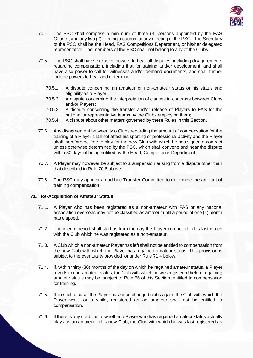

- 70.4. The PSC shall comprise a minimum of three (3) persons appointed by the FAS Council, and any two (2) forming a quorum at any meeting of the PSC. The Secretary of the PSC shall be the Head, FAS Competitions Department, or his/her delegated representative. The members of the PSC shall not belong to any of the Clubs.
- 70.5. The PSC shall have exclusive powers to hear all disputes, including disagreements regarding compensation, including that for training and/or development, and shall have also power to call for witnesses and/or demand documents, and shall further include powers to hear and determine:
	- 70.5.1. A dispute concerning an amateur or non-amateur status or his status and eligibility as a Player;
	- 70.5.2. A dispute concerning the interpretation of clauses in contracts between Clubs and/or Players;
	- 70.5.3. A dispute concerning the transfer and/or release of Players to FAS for the national or representative teams by the Clubs employing them;
	- 70.5.4. A dispute about other matters governed by these Rules in this Section.
- 70.6. Any disagreement between two Clubs regarding the amount of compensation for the training of a Player shall not affect his sporting or professional activity and the Player shall therefore be free to play for the new Club with which he has signed a contract unless otherwise determined by the PSC, which shall convene and hear the dispute within 30 days of being notified by the Head, Competitions Department.
- 70.7. A Player may however be subject to a suspension arising from a dispute other than that described in Rule 70.6 above.
- 70.8. The PSC may appoint an ad hoc Transfer Committee to determine the amount of training compensation.

### **71. Re-Acquisition of Amateur Status**

- 71.1. A Player who has been registered as a non-amateur with FAS or any national association overseas may not be classified as amateur until a period of one (1) month has elapsed.
- 71.2. The interim period shall start as from the day the Player competed in his last match with the Club which he was registered as a non-amateur.
- 71.3. A Club which a non-amateur Player has left shall not be entitled to compensation from the new Club with which the Player has regained amateur status. This provision is subject to the eventuality provided for under Rule 71.4 below.
- 71.4. If, within thirty (30) months of the day on which he regained amateur status, a Player reverts to non-amateur status, the Club with which he was registered before regaining amateur status may be, subject to Rule 66 of this Section, entitled to compensation for training.
- 71.5. If, in such a case, the Player has since changed clubs again, the Club with which the Player was, for a while, registered as an amateur shall not be entitled to compensation.
- 71.6. If there is any doubt as to whether a Player who has regained amateur status actually plays as an amateur in his new Club, the Club with which he was last registered as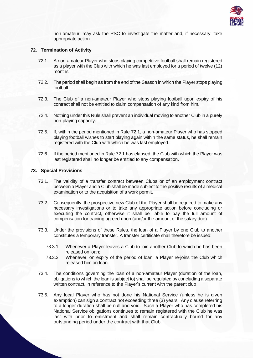

non-amateur, may ask the PSC to investigate the matter and, if necessary, take appropriate action.

### **72. Termination of Activity**

- 72.1. A non-amateur Player who stops playing competitive football shall remain registered as a player with the Club with which he was last employed for a period of twelve (12) months.
- 72.2. The period shall begin as from the end of the Season in which the Player stops playing football.
- 72.3. The Club of a non-amateur Player who stops playing football upon expiry of his contract shall not be entitled to claim compensation of any kind from him.
- 72.4. Nothing under this Rule shall prevent an individual moving to another Club in a purely non-playing capacity.
- 72.5. If, within the period mentioned in Rule 72.1, a non-amateur Player who has stopped playing football wishes to start playing again within the same status, he shall remain registered with the Club with which he was last employed.
- 72.6. If the period mentioned in Rule 72.1 has elapsed, the Club with which the Player was last registered shall no longer be entitled to any compensation.

### **73. Special Provisions**

- 73.1. The validity of a transfer contract between Clubs or of an employment contract between a Player and a Club shall be made subject to the positive results of a medical examination or to the acquisition of a work permit.
- 73.2. Consequently, the prospective new Club of the Player shall be required to make any necessary investigations or to take any appropriate action before concluding or executing the contract, otherwise it shall be liable to pay the full amount of compensation for training agreed upon (and/or the amount of the salary due).
- 73.3. Under the provisions of these Rules, the loan of a Player by one Club to another constitutes a temporary transfer. A transfer certificate shall therefore be issued:
	- 73.3.1. Whenever a Player leaves a Club to join another Club to which he has been released on loan;
	- 73.3.2. Whenever, on expiry of the period of loan, a Player re-joins the Club which released him on loan.
- 73.4. The conditions governing the loan of a non-amateur Player (duration of the loan, obligations to which the loan is subject to) shall be regulated by concluding a separate written contract, in reference to the Player's current with the parent club
- 73.5. Any local Player who has not done his National Service (unless he is given exemption) can sign a contract not exceeding three (3) years. Any clause referring to a longer duration shall be null and void. Such a Player who has completed his National Service obligations continues to remain registered with the Club he was last with prior to enlistment and shall remain contractually bound for any outstanding period under the contract with that Club.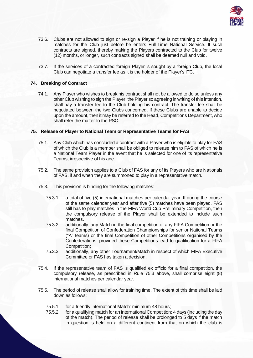

- 73.6. Clubs are not allowed to sign or re-sign a Player if he is not training or playing in matches for the Club just before he enters Full-Time National Service. If such contracts are signed, thereby making the Players contracted to the Club for twelve (12) months, or longer, such contracts signed shall be deemed null and void.
- 73.7. If the services of a contracted foreign Player is sought by a foreign Club, the local Club can negotiate a transfer fee as it is the holder of the Player's ITC.

# **74. Breaking of Contract**

74.1. Any Player who wishes to break his contract shall not be allowed to do so unless any other Club wishing to sign the Player, the Player so agreeing in writing of this intention, shall pay a transfer fee to the Club holding his contract. The transfer fee shall be negotiated between the two Clubs concerned. If these Clubs are unable to decide upon the amount, then it may be referred to the Head, Competitions Department, who shall refer the matter to the PSC.

### **75. Release of Player to National Team or Representative Teams for FAS**

- 75.1. Any Club which has concluded a contract with a Player who is eligible to play for FAS of which the Club is a member shall be obliged to release him to FAS of which he is a National Team Player in the event that he is selected for one of its representative Teams, irrespective of his age.
- 75.2. The same provision applies to a Club of FAS for any of its Players who are Nationals of FAS, if and when they are summoned to play in a representative match.
- 75.3. This provision is binding for the following matches:
	- 75.3.1. a total of five (5) international matches per calendar year. If during the course of the same calendar year and after five (5) matches have been played, FAS still has to play matches in the FIFA World Cup Preliminary Competition, then the compulsory release of the Player shall be extended to include such matches.
	- 75.3.2. additionally, any Match in the final competition of any FIFA Competition or the final Competition of Confederation Championships for senior National Teams ("A" teams) or the final Competition of other Competitions organised by the Confederations, provided these Competitions lead to qualification for a FIFA Competition;
	- 75.3.3. additionally, any other Tournament/Match in respect of which FIFA Executive Committee or FAS has taken a decision.
- 75.4. If the representative team of FAS is qualified ex officio for a final competition, the compulsory release, as prescribed in Rule 75.3 above, shall comprise eight (8) international matches per calendar year.
- 75.5. The period of release shall allow for training time. The extent of this time shall be laid down as follows:
	- 75.5.1. for a friendly international Match: minimum 48 hours;
	- 75.5.2. for a qualifying match for an international Competition: 4 days (including the day of the match). The period of release shall be prolonged to 5 days if the match in question is held on a different continent from that on which the club is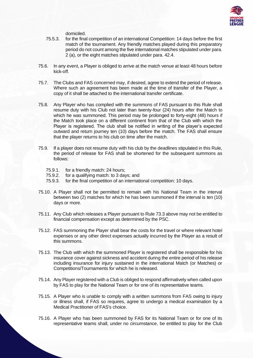

domiciled.

- 75.5.3. for the final competition of an international Competition: 14 days before the first match of the tournament. Any friendly matches played during this preparatory period do not count among the five international matches stipulated under para. 2 (a), or the eight matches stipulated under para. 42.4.
- 75.6. In any event, a Player is obliged to arrive at the match venue at least 48 hours before kick-off.
- 75.7. The Clubs and FAS concerned may, if desired, agree to extend the period of release. Where such an agreement has been made at the time of transfer of the Player, a copy of it shall be attached to the international transfer certificate.
- 75.8. Any Player who has complied with the summons of FAS pursuant to this Rule shall resume duty with his Club not later than twenty-four (24) hours after the Match to which he was summoned. This period may be prolonged to forty-eight (48) hours if the Match took place on a different continent from that of the Club with which the Player is registered. The club shall be notified in writing of the player's expected outward and return journey ten (10) days before the match. The FAS shall ensure that the player returns to his club on time after the match.
- 75.9. If a player does not resume duty with his club by the deadlines stipulated in this Rule, the period of release for FAS shall be shortened for the subsequent summons as follows:
	- 75.9.1. for a friendly match: 24 hours;
	- 75.9.2. for a qualifying match: to 3 days; and
	- 75.9.3. for the final competition of an international competition: 10 days.
- 75.10. A Player shall not be permitted to remain with his National Team in the interval between two (2) matches for which he has been summoned if the interval is ten (10) days or more.
- 75.11. Any Club which releases a Player pursuant to Rule 73.3 above may not be entitled to financial compensation except as determined by the PSC.
- 75.12. FAS summoning the Player shall bear the costs for the travel or where relevant hotel expenses or any other direct expenses actually incurred by the Player as a result of this summons.
- 75.13. The Club with which the summoned Player is registered shall be responsible for his insurance cover against sickness and accident during the entire period of his release including insurance for injury sustained in the international Match (or Matches) or Competitions/Tournaments for which he is released.
- 75.14. Any Player registered with a Club is obliged to respond affirmatively when called upon by FAS to play for the National Team or for one of its representative teams.
- 75.15. A Player who is unable to comply with a written summons from FAS owing to injury or illness shall, if FAS so requires, agree to undergo a medical examination by a Medical Practitioner of FAS's choice.
- 75.16. A Player who has been summoned by FAS for its National Team or for one of its representative teams shall, under no circumstance, be entitled to play for the Club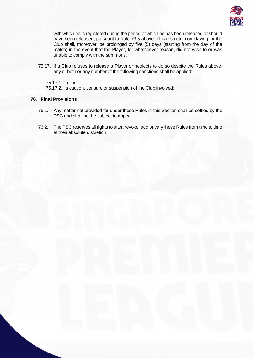

with which he is registered during the period of which he has been released or should have been released, pursuant to Rule 73.5 above. This restriction on playing for the Club shall, moreover, be prolonged by five (5) days (starting from the day of the match) in the event that the Player, for whatsoever reason, did not wish to or was unable to comply with the summons.

75.17. If a Club refuses to release a Player or neglects to do so despite the Rules above, any or both or any number of the following sanctions shall be applied:

75.17.1. a fine;

75.17.2. a caution, censure or suspension of the Club involved;

# **76. Final Provisions**

- 76.1. Any matter not provided for under these Rules in this Section shall be settled by the PSC and shall not be subject to appeal.
- 76.2. The PSC reserves all rights to alter, revoke, add or vary these Rules from time to time at their absolute discretion.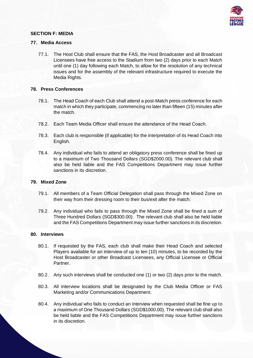

# **SECTION F: MEDIA**

### **77. Media Access**

77.1. The Host Club shall ensure that the FAS, the Host Broadcaster and all Broadcast Licensees have free access to the Stadium from two (2) days prior to each Match until one (1) day following each Match, to allow for the resolution of any technical issues and for the assembly of the relevant infrastructure required to execute the Media Rights.

# **78. Press Conferences**

- 78.1. The Head Coach of each Club shall attend a post-Match press conference for each match in which they participate, commencing no later than fifteen (15) minutes after the match.
- 78.2. Each Team Media Officer shall ensure the attendance of the Head Coach.
- 78.3. Each club is responsible (if applicable) for the interpretation of its Head Coach into English.
- 78.4. Any individual who fails to attend an obligatory press conference shall be fined up to a maximum of Two Thousand Dollars (SGD\$2000.00). The relevant club shall also be held liable and the FAS Competitions Department may issue further sanctions in its discretion.

# **79. Mixed Zone**

- 79.1. All members of a Team Official Delegation shall pass through the Mixed Zone on their way from their dressing room to their bus/exit after the match.
- 79.2. Any individual who fails to pass through the Mixed Zone shall be fined a sum of Three Hundred Dollars (SGD\$300.00). The relevant club shall also be held liable and the FAS Competitions Department may issue further sanctions in its discretion.

### **80. Interviews**

- 80.1. If requested by the FAS, each club shall make their Head Coach and selected Players available for an interview of up to ten (10) minutes, to be recorded by the Host Broadcaster or other Broadcast Licensees, any Official Licensee or Official Partner.
- 80.2. Any such interviews shall be conducted one (1) or two (2) days prior to the match.
- 80.3. All interview locations shall be designated by the Club Media Officer or FAS Marketing and/or Communications Department.
- 80.4. Any individual who fails to conduct an interview when requested shall be fine up to a maximum of One Thousand Dollars (SGD\$1000.00). The relevant club shall also be held liable and the FAS Competitions Department may issue further sanctions in its discretion.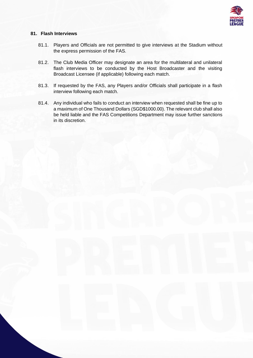

# **81. Flash Interviews**

- 81.1. Players and Officials are not permitted to give interviews at the Stadium without the express permission of the FAS.
- 81.2. The Club Media Officer may designate an area for the multilateral and unilateral flash interviews to be conducted by the Host Broadcaster and the visiting Broadcast Licensee (if applicable) following each match.
- 81.3. If requested by the FAS, any Players and/or Officials shall participate in a flash interview following each match.
- 81.4. Any individual who fails to conduct an interview when requested shall be fine up to a maximum of One Thousand Dollars (SGD\$1000.00). The relevant club shall also be held liable and the FAS Competitions Department may issue further sanctions in its discretion.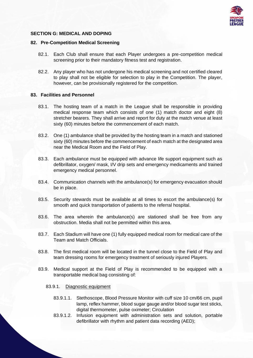

# **SECTION G: MEDICAL AND DOPING**

### **82. Pre-Competition Medical Screening**

- 82.1. Each Club shall ensure that each Player undergoes a pre-competition medical screening prior to their mandatory fitness test and registration.
- 82.2. Any player who has not undergone his medical screening and not certified cleared to play shall not be eligible for selection to play in the Competition. The player, however, can be provisionally registered for the competition.

### **83. Facilities and Personnel**

- 83.1. The hosting team of a match in the League shall be responsible in providing medical response team which consists of one (1) match doctor and eight (8) stretcher bearers. They shall arrive and report for duty at the match venue at least sixty (60) minutes before the commencement of each match.
- 83.2. One (1) ambulance shall be provided by the hosting team in a match and stationed sixty (60) minutes before the commencement of each match at the designated area near the Medical Room and the Field of Play.
- 83.3. Each ambulance must be equipped with advance life support equipment such as defibrillator, oxygen/ mask, I/V drip sets and emergency medicaments and trained emergency medical personnel.
- 83.4. Communication channels with the ambulance(s) for emergency evacuation should be in place.
- 83.5. Security stewards must be available at all times to escort the ambulance(s) for smooth and quick transportation of patients to the referral hospital.
- 83.6. The area wherein the ambulance(s) are stationed shall be free from any obstruction. Media shall not be permitted within this area.
- 83.7. Each Stadium will have one (1) fully equipped medical room for medical care of the Team and Match Officials.
- 83.8. The first medical room will be located in the tunnel close to the Field of Play and team dressing rooms for emergency treatment of seriously injured Players.
- 83.9. Medical support at the Field of Play is recommended to be equipped with a transportable medical bag consisting of:
	- 83.9.1. Diagnostic equipment
		- 83.9.1.1. Stethoscope, Blood Pressure Monitor with cuff size 10 cm/66 cm, pupil lamp, reflex hammer, blood sugar gauge and/or blood sugar test sticks, digital thermometer, pulse oximeter; Circulation
		- 83.9.1.2. Infusion equipment with administration sets and solution, portable defibrillator with rhythm and patient data recording (AED);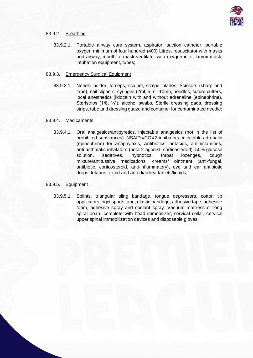

# 83.9.2. Breathing

83.9.2.1. Portable airway care system, aspirator, suction catheter, portable oxygen minimum of four hundred (400) Litres, resuscitator with masks and airway, mouth to mask ventilator with oxygen inlet, larynx mask, intubation equipment, tubes;

### 83.9.3. Emergency Surgical Equipment

83.9.3.1. Needle holder, forceps, scalpel, scalpel blades, Scissors (sharp and tape), nail clippers, syringes (2ml, 5 ml, 10ml), needles, suture cutters, local anesthetics (lidocain with and without adrenaline (epinephrine), Steristrips (1/8, ¼"), alcohol swabs, Sterile dressing pads, dressing strips, tube and dressing gauze and container for contaminated needle;

# 83.9.4. Medicaments

83.9.4.1. Oral analgesics/antipyretics, injectable analgesics (not in the list of prohibited substances). NSAIDs/COX2-inhibators, injectable adrenalin (epinephrine) for anaphylaxis, Antibiotics, antacids, antihistamines, anti-asthmatic inhalators (beta-2-agonist, corticosteroid), 50% glucose solution, sedatives, hypnotics, throat lozenges, cough mixture/antitussive medications, creams/ ointment (anti-fungal, antibiotic, corticosteroid, anti-inflammatory), eye and ear antibiotic drops, tetanus toxoid and anti-diarrhea tablets/liquids;

### 83.9.5. Equipment

83.9.5.1. Splints, triangular sling bandage, tongue depressors, cotton tip applicators, rigid sports tape, elastic bandage, adhesive tape, adhesive foam, adhesive spray and coolant spray. Vacuum mattress or long spiral board complete with head immobilizer, cervical collar, cervical upper spinal immobilization devices and disposable gloves.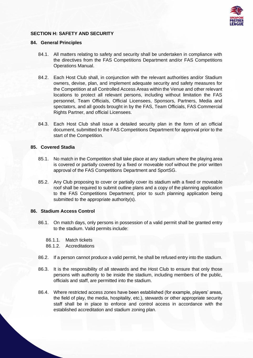

# **SECTION H: SAFETY AND SECURITY**

### **84. General Principles**

- 84.1. All matters relating to safety and security shall be undertaken in compliance with the directives from the FAS Competitions Department and/or FAS Competitions Operations Manual.
- 84.2. Each Host Club shall, in conjunction with the relevant authorities and/or Stadium owners, devise, plan, and implement adequate security and safety measures for the Competition at all Controlled Access Areas within the Venue and other relevant locations to protect all relevant persons, including without limitation the FAS personnel, Team Officials, Official Licensees, Sponsors, Partners, Media and spectators, and all goods brought in by the FAS, Team Officials, FAS Commercial Rights Partner, and official Licensees.
- 84.3. Each Host Club shall issue a detailed security plan in the form of an official document, submitted to the FAS Competitions Department for approval prior to the start of the Competition.

# **85. Covered Stadia**

- 85.1. No match in the Competition shall take place at any stadium where the playing area is covered or partially covered by a fixed or moveable roof without the prior written approval of the FAS Competitions Department and SportSG.
- 85.2. Any Club proposing to cover or partially cover its stadium with a fixed or moveable roof shall be required to submit outline plans and a copy of the planning application to the FAS Competitions Department, prior to such planning application being submitted to the appropriate authority(s).

### **86. Stadium Access Control**

- 86.1. On match days, only persons in possession of a valid permit shall be granted entry to the stadium. Valid permits include:
	- 86.1.1. Match tickets
	- 86.1.2. Accreditations
- 86.2. If a person cannot produce a valid permit, he shall be refused entry into the stadium.
- 86.3. It is the responsibility of all stewards and the Host Club to ensure that only those persons with authority to be inside the stadium, including members of the public, officials and staff, are permitted into the stadium.
- 86.4. Where restricted access zones have been established (for example, players' areas, the field of play, the media, hospitality, etc.), stewards or other appropriate security staff shall be in place to enforce and control access in accordance with the established accreditation and stadium zoning plan.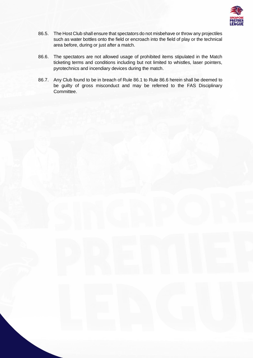

- 86.5. The Host Club shall ensure that spectators do not misbehave or throw any projectiles such as water bottles onto the field or encroach into the field of play or the technical area before, during or just after a match.
- 86.6. The spectators are not allowed usage of prohibited items stipulated in the Match ticketing terms and conditions including but not limited to whistles, laser pointers, pyrotechnics and incendiary devices during the match.
- 86.7. Any Club found to be in breach of Rule 86.1 to Rule 86.6 herein shall be deemed to be guilty of gross misconduct and may be referred to the FAS Disciplinary Committee.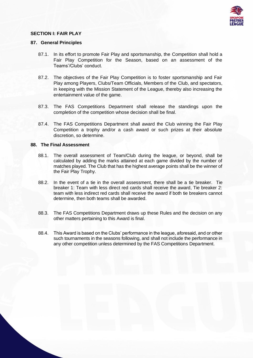

# **SECTION I: FAIR PLAY**

### **87. General Principles**

- 87.1. In its effort to promote Fair Play and sportsmanship, the Competition shall hold a Fair Play Competition for the Season, based on an assessment of the Teams'/Clubs' conduct.
- 87.2. The objectives of the Fair Play Competition is to foster sportsmanship and Fair Play among Players, Clubs/Team Officials, Members of the Club, and spectators, in keeping with the Mission Statement of the League, thereby also increasing the entertainment value of the game.
- 87.3. The FAS Competitions Department shall release the standings upon the completion of the competition whose decision shall be final.
- 87.4. The FAS Competitions Department shall award the Club winning the Fair Play Competition a trophy and/or a cash award or such prizes at their absolute discretion, so determine.

### **88. The Final Assessment**

- 88.1. The overall assessment of Team/Club during the league, or beyond, shall be calculated by adding the marks attained at each game divided by the number of matches played. The Club that has the highest average points shall be the winner of the Fair Play Trophy.
- 88.2. In the event of a tie in the overall assessment, there shall be a tie breaker. Tie breaker 1: Team with less direct red cards shall receive the award, Tie breaker 2: team with less indirect red cards shall receive the award if both tie breakers cannot determine, then both teams shall be awarded.
- 88.3. The FAS Competitions Department draws up these Rules and the decision on any other matters pertaining to this Award is final.
- 88.4. This Award is based on the Clubs' performance in the league, aforesaid, and or other such tournaments in the seasons following, and shall not include the performance in any other competition unless determined by the FAS Competitions Department.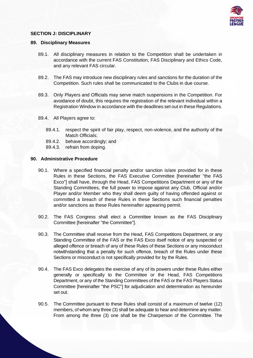

# **SECTION J: DISCIPLINARY**

### **89. Disciplinary Measures**

- 89.1. All disciplinary measures in relation to the Competition shall be undertaken in accordance with the current FAS Constitution, FAS Disciplinary and Ethics Code, and any relevant FAS circular.
- 89.2. The FAS may introduce new disciplinary rules and sanctions for the duration of the Competition. Such rules shall be communicated to the Clubs in due course.
- 89.3. Only Players and Officials may serve match suspensions in the Competition. For avoidance of doubt, this requires the registration of the relevant individual within a Registration Window in accordance with the deadlines set out in these Regulations.
- 89.4. All Players agree to:
	- 89.4.1. respect the spirit of fair play, respect, non-violence, and the authority of the Match Officials:
	- 89.4.2. behave accordingly; and
	- 89.4.3. refrain from doping.

### **90. Administrative Procedure**

- 90.1. Where a specified financial penalty and/or sanction is/are provided for in these Rules in these Sections, the FAS Executive Committee [hereinafter "the FAS Exco"] shall have, through the Head, FAS Competitions Department or any of the Standing Committees, the full power to impose against any Club, Official and/or Player and/or Member who they shall deem guilty of having offended against or committed a breach of these Rules in these Sections such financial penalties and/or sanctions as these Rules hereinafter appearing permit.
- 90.2. The FAS Congress shall elect a Committee known as the FAS Disciplinary Committee [hereinafter "the Committee"].
- 90.3. The Committee shall receive from the Head, FAS Competitions Department, or any Standing Committee of the FAS or the FAS Exco itself notice of any suspected or alleged offence or breach of any of these Rules of these Sections or any misconduct notwithstanding that a penalty for such offence, breach of the Rules under these Sections or misconduct is not specifically provided for by the Rules.
- 90.4. The FAS Exco delegates the exercise of any of its powers under these Rules either generally or specifically to the Committee or the Head, FAS Competitions Department, or any of the Standing Committees of the FAS or the FAS Players Status Committee [hereinafter "the PSC"] for adjudication and determination as hereunder set out.
- 90.5. The Committee pursuant to these Rules shall consist of a maximum of twelve (12) members, of whom any three (3) shall be adequate to hear and determine any matter. From among the three (3) one shall be the Chairperson of the Committee. The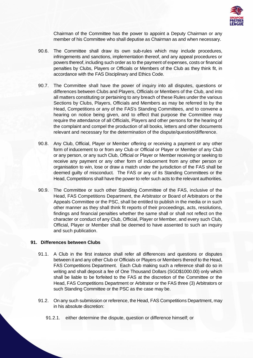

Chairman of the Committee has the power to appoint a Deputy Chairman or any member of his Committee who shall deputise as Chairman as and when necessary.

- 90.6. The Committee shall draw its own sub-rules which may include procedures, infringements and sanctions, implementation thereof, and any appeal procedures or powers thereof, including such order as to the payment of expenses, costs or financial penalties by Clubs, Players or Officials or Members of the Club as they think fit, in accordance with the FAS Disciplinary and Ethics Code.
- 90.7. The Committee shall have the power of inquiry into all disputes, questions or differences between Clubs and Players, Officials or Members of the Club, and into all matters constituting or pertaining to any breach of these Rules under the various Sections by Clubs, Players, Officials and Members as may be referred to by the Head, Competitions or any of the FAS's Standing Committees, and to convene a hearing on notice being given, and to effect that purpose the Committee may require the attendance of all Officials, Players and other persons for the hearing of the complaint and compel the production of all books, letters and other documents relevant and necessary for the determination of the dispute/question/difference.
- 90.8. Any Club, Official, Player or Member offering or receiving a payment or any other form of inducement to or from any Club or Official or Player or Member of any Club or any person, or any such Club, Official or Player or Member receiving or seeking to receive any payment or any other form of inducement from any other person or organisation to win, lose or draw a match under the jurisdiction of the FAS shall be deemed guilty of misconduct. The FAS or any of its Standing Committees or the Head, Competitions shall have the power to refer such acts to the relevant authorities.
- 90.9. The Committee or such other Standing Committee of the FAS, inclusive of the Head, FAS Competitions Department, the Arbitrator or Board of Arbitrators or the Appeals Committee or the PSC, shall be entitled to publish in the media or in such other manner as they shall think fit reports of their proceedings, acts, resolutions, findings and financial penalties whether the same shall or shall not reflect on the character or conduct of any Club, Official, Player or Member, and every such Club, Official, Player or Member shall be deemed to have assented to such an inquiry and such publication.

### **91. Differences between Clubs**

- 91.1. A Club in the first instance shall refer all differences and questions or disputes between it and any other Club or Officials or Players or Members thereof to the Head, FAS Competitions Department. Each Club making such a reference shall do so in writing and shall deposit a fee of One Thousand Dollars (SGD\$1000.00) only which shall be liable to be forfeited to the FAS at the discretion of the Committee or the Head, FAS Competitions Department or Arbitrator or the FAS three (3) Arbitrators or such Standing Committee or the PSC as the case may be.
- 91.2. On any such submission or reference, the Head, FAS Competitions Department, may in his absolute discretion:
	- 91.2.1. either determine the dispute, question or difference himself; or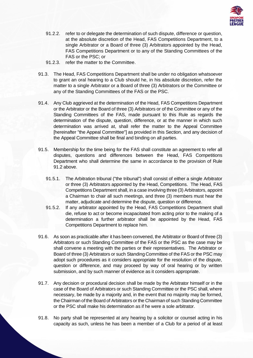

- 91.2.2. refer to or delegate the determination of such dispute, difference or question, at the absolute discretion of the Head, FAS Competitions Department, to a single Arbitrator or a Board of three (3) Arbitrators appointed by the Head, FAS Competitions Department or to any of the Standing Committees of the FAS or the PSC; or
- 91.2.3. refer the matter to the Committee.
- 91.3. The Head, FAS Competitions Department shall be under no obligation whatsoever to grant an oral hearing to a Club should he, in his absolute discretion, refer the matter to a single Arbitrator or a Board of three (3) Arbitrators or the Committee or any of the Standing Committees of the FAS or the PSC.
- 91.4. Any Club aggrieved at the determination of the Head, FAS Competitions Department or the Arbitrator or the Board of three (3) Arbitrators or of the Committee or any of the Standing Committees of the FAS, made pursuant to this Rule as regards the determination of the dispute, question, difference, or at the manner in which such determination was arrived at, shall refer the matter to the Appeal Committee [hereinafter "the Appeal Committee"] as provided in this Section, and any decision of the Appeal Committee shall be final and binding on all parties.
- 91.5. Membership for the time being for the FAS shall constitute an agreement to refer all disputes, questions and differences between the Head, FAS Competitions Department who shall determine the same in accordance to the provision of Rule 91.2 above.
	- 91.5.1. The Arbitration tribunal ("the tribunal") shall consist of either a single Arbitrator or three (3) Arbitrators appointed by the Head, Competitions. The Head, FAS Competitions Department shall, in a case involving three (3) Arbitrators, appoint a Chairman to chair all such meetings, and three (3) members must hear the matter, adjudicate and determine the dispute, question or difference.
	- 91.5.2. If any arbitrator appointed by the Head, FAS Competitions Department shall die, refuse to act or become incapacitated from acting prior to the making of a determination a further arbitrator shall be appointed by the Head, FAS Competitions Department to replace him.
- 91.6. As soon as practicable after it has been convened, the Arbitrator or Board of three (3) Arbitrators or such Standing Committee of the FAS or the PSC as the case may be shall convene a meeting with the parties or their representatives. The Arbitrator or Board of three (3) Arbitrators or such Standing Committee of the FAS or the PSC may adopt such procedures as it considers appropriate for the resolution of the dispute, question or difference, and may proceed by way of oral hearing or by written submission, and by such manner of evidence as it considers appropriate.
- 91.7. Any decision or procedural decision shall be made by the Arbitrator himself or in the case of the Board of Arbitrators or such Standing Committee or the PSC shall, where necessary, be made by a majority and, in the event that no majority may be formed, the Chairman of the Board of Arbitrators or the Chairman of such Standing Committee or the PSC shall make his determination as if he were a sole arbitrator.
- 91.8. No party shall be represented at any hearing by a solicitor or counsel acting in his capacity as such, unless he has been a member of a Club for a period of at least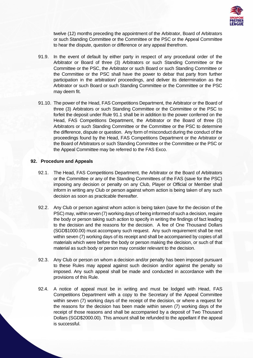

twelve (12) months preceding the appointment of the Arbitrator, Board of Arbitrators or such Standing Committee or the Committee or the PSC or the Appeal Committee to hear the dispute, question or difference or any appeal therefrom.

- 91.9. In the event of default by either party in respect of any procedural order of the Arbitrator or Board of three (3) Arbitrators or such Standing Committee or the Committee or the PSC, the Arbitrator or such Board or such Standing Committee or the Committee or the PSC shall have the power to debar that party from further participation in the arbitration/ proceedings, and deliver its determination as the Arbitrator or such Board or such Standing Committee or the Committee or the PSC may deem fit.
- 91.10. The power of the Head, FAS Competitions Department, the Arbitrator or the Board of three (3) Arbitrators or such Standing Committee or the Committee or the PSC to forfeit the deposit under Rule 91.1 shall be in addition to the power conferred on the Head, FAS Competitions Department, the Arbitrator or the Board of three (3) Arbitrators or such Standing Committee or the Committee or the PSC to determine the difference, dispute or question. Any form of misconduct during the conduct of the proceedings found by the Head, FAS Competitions Department or the Arbitrator or the Board of Arbitrators or such Standing Committee or the Committee or the PSC or the Appeal Committee may be referred to the FAS Exco.

# **92. Procedure and Appeals**

- 92.1. The Head, FAS Competitions Department, the Arbitrator or the Board of Arbitrators or the Committee or any of the Standing Committees of the FAS (save for the PSC) imposing any decision or penalty on any Club, Player or Official or Member shall inform in writing any Club or person against whom action is being taken of any such decision as soon as practicable thereafter.
- 92.2. Any Club or person against whom action is being taken (save for the decision of the PSC) may, within seven (7) working days of being informed of such a decision, require the body or person taking such action to specify in writing the findings of fact leading to the decision and the reasons for the decision. A fee of One Thousand Dollars (SGD\$1000.00) must accompany such request. Any such requirement shall be met within seven (7) working days of its receipt and shall be accompanied by copies of all materials which were before the body or person making the decision, or such of that material as such body or person may consider relevant to the decision.
- 92.3. Any Club or person on whom a decision and/or penalty has been imposed pursuant to these Rules may appeal against such decision and/or against the penalty so imposed. Any such appeal shall be made and conducted in accordance with the provisions of this Rule.
- 92.4. A notice of appeal must be in writing and must be lodged with Head, FAS Competitions Department with a copy to the Secretary of the Appeal Committee within seven (7) working days of the receipt of the decision, or where a request for the reasons for the decision has been made within seven (7) working days of the receipt of those reasons and shall be accompanied by a deposit of Two Thousand Dollars (SGD\$2000.00). This amount shall be refunded to the appellant if the appeal is successful.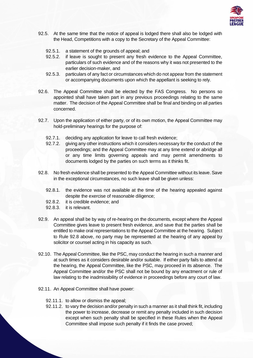

- 92.5. At the same time that the notice of appeal is lodged there shall also be lodged with the Head, Competitions with a copy to the Secretary of the Appeal Committee:
	- 92.5.1. a statement of the grounds of appeal; and
	- 92.5.2. if leave is sought to present any fresh evidence to the Appeal Committee, particulars of such evidence and of the reasons why it was not presented to the earlier decision-maker, and
	- 92.5.3. particulars of any fact or circumstances which do not appear from the statement or accompanying documents upon which the appellant is seeking to rely.
- 92.6. The Appeal Committee shall be elected by the FAS Congress. No persons so appointed shall have taken part in any previous proceedings relating to the same matter. The decision of the Appeal Committee shall be final and binding on all parties concerned.
- 92.7. Upon the application of either party, or of its own motion, the Appeal Committee may hold-preliminary hearings for the purpose of:
	- 92.7.1. deciding any application for leave to call fresh evidence;
	- 92.7.2. giving any other instructions which it considers necessary for the conduct of the proceedings; and the Appeal Committee may at any time extend or abridge all or any time limits governing appeals and may permit amendments to documents lodged by the parties on such terms as it thinks fit.
- 92.8. No fresh evidence shall be presented to the Appeal Committee without its leave. Save in the exceptional circumstances, no such leave shall be given unless:
	- 92.8.1. the evidence was not available at the time of the hearing appealed against despite the exercise of reasonable diligence;
	- 92.8.2. it is credible evidence; and
	- 92.8.3. it is relevant.
- 92.9. An appeal shall be by way of re-hearing on the documents, except where the Appeal Committee gives leave to present fresh evidence, and save that the parties shall be entitled to make oral representations to the Appeal Committee at the hearing. Subject to Rule 92.8 above, no party may be represented at the hearing of any appeal by solicitor or counsel acting in his capacity as such.
- 92.10. The Appeal Committee, like the PSC, may conduct the hearing in such a manner and at such times as it considers desirable and/or suitable. If either party fails to attend at the hearing, the Appeal Committee, like the PSC, may proceed in its absence. The Appeal Committee and/or the PSC shall not be bound by any enactment or rule of law relating to the inadmissibility of evidence in proceedings before any court of law.
- 92.11. An Appeal Committee shall have power:
	- 92.11.1. to allow or dismiss the appeal;
	- 92.11.2. to vary the decision and/or penalty in such a manner as it shall think fit, including the power to increase, decrease or remit any penalty included in such decision except when such penalty shall be specified in these Rules when the Appeal Committee shall impose such penalty if it finds the case proved;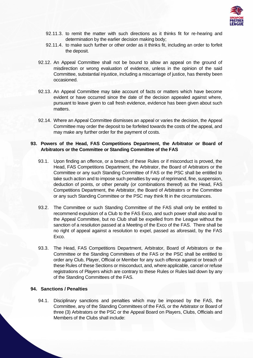

- 92.11.3. to remit the matter with such directions as it thinks fit for re-hearing and determination by the earlier decision making body;
- 92.11.4. to make such further or other order as it thinks fit, including an order to forfeit the deposit.
- 92.12. An Appeal Committee shall not be bound to allow an appeal on the ground of misdirection or wrong evaluation of evidence, unless in the opinion of the said Committee, substantial injustice, including a miscarriage of justice, has thereby been occasioned.
- 92.13. An Appeal Committee may take account of facts or matters which have become evident or have occurred since the date of the decision appealed against where, pursuant to leave given to call fresh evidence, evidence has been given about such matters.
- 92.14. Where an Appeal Committee dismisses an appeal or varies the decision, the Appeal Committee may order the deposit to be forfeited towards the costs of the appeal, and may make any further order for the payment of costs.

# **93. Powers of the Head, FAS Competitions Department, the Arbitrator or Board of Arbitrators or the Committee or Standing Committee of the FAS**

- 93.1. Upon finding an offence, or a breach of these Rules or if misconduct is proved, the Head, FAS Competitions Department, the Arbitrator, the Board of Arbitrators or the Committee or any such Standing Committee of FAS or the PSC shall be entitled to take such action and to impose such penalties by way of reprimand, fine, suspension, deduction of points, or other penalty (or combinations thereof) as the Head, FAS Competitions Department, the Arbitrator, the Board of Arbitrators or the Committee or any such Standing Committee or the PSC may think fit in the circumstances.
- 93.2. The Committee or such Standing Committee of the FAS shall only be entitled to recommend expulsion of a Club to the FAS Exco, and such power shall also avail to the Appeal Committee, but no Club shall be expelled from the League without the sanction of a resolution passed at a Meeting of the Exco of the FAS. There shall be no right of appeal against a resolution to expel, passed as aforesaid, by the FAS Exco.
- 93.3. The Head, FAS Competitions Department, Arbitrator, Board of Arbitrators or the Committee or the Standing Committees of the FAS or the PSC shall be entitled to order any Club, Player, Official or Member for any such offence against or breach of these Rules of these Sections or misconduct, and, where applicable, cancel or refuse registrations of Players which are contrary to these Rules or Rules laid down by any of the Standing Committees of the FAS.

# **94. Sanctions / Penalties**

94.1. Disciplinary sanctions and penalties which may be imposed by the FAS, the Committee, any of the Standing Committees of the FAS, or the Arbitrator or Board of three (3) Arbitrators or the PSC or the Appeal Board on Players, Clubs, Officials and Members of the Clubs shall include: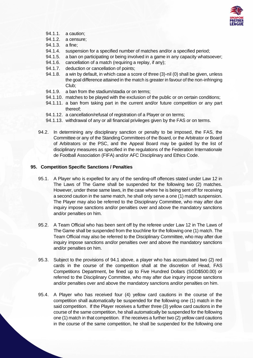

- 94.1.1. a caution;
- 94.1.2. a censure;
- 94.1.3. a fine;
- 94.1.4. suspension for a specified number of matches and/or a specified period;
- 94.1.5. a ban on participating or being involved in a game in any capacity whatsoever;
- 94.1.6. cancellation of a match (requiring a replay, if any);
- 94.1.7. deduction or cancellation of points;
- 94.1.8. a win by default, in which case a score of three (3)-nil (0) shall be given, unless the goal difference attained in the match is greater in favour of the non-infringing Club;
- 94.1.9. a ban from the stadium/stadia or on terms;
- 94.1.10. matches to be played with the exclusion of the public or on certain conditions;
- 94.1.11. a ban from taking part in the current and/or future competition or any part thereof;
- 94.1.12. a cancellation/refusal of registration of a Player or on terms;
- 94.1.13. withdrawal of any or all financial privileges given by the FAS or on terms.
- 94.2. In determining any disciplinary sanction or penalty to be imposed, the FAS, the Committee or any of the Standing Committees of the Board, or the Arbitrator or Board of Arbitrators or the PSC, and the Appeal Board may be guided by the list of disciplinary measures as specified in the regulations of the Federation Internationale de Football Association (FIFA) and/or AFC Disciplinary and Ethics Code.

# **95. Competition Specific Sanctions / Penalties**

- 95.1. A Player who is expelled for any of the sending-off offences stated under Law 12 in The Laws of The Game shall be suspended for the following two (2) matches. However, under these same laws, in the case where he is being sent off for receiving a second caution in the same match, he shall only serve a one (1) match suspension. The Player may also be referred to the Disciplinary Committee, who may after due inquiry impose sanctions and/or penalties over and above the mandatory sanctions and/or penalties on him.
- 95.2. A Team Official who has been sent off by the referee under Law 12 in The Laws of The Game shall be suspended from the touchline for the following one (1) match. The Team Official may also be referred to the Disciplinary Committee, who may after due inquiry impose sanctions and/or penalties over and above the mandatory sanctions and/or penalties on him.
- 95.3. Subject to the provisions of 94.1 above, a player who has accumulated two (2) red cards in the course of the competition shall at the discretion of Head, FAS Competitions Department, be fined up to Five Hundred Dollars (SGD\$500.00) or referred to the Disciplinary Committee, who may after due inquiry impose sanctions and/or penalties over and above the mandatory sanctions and/or penalties on him.
- 95.4. A Player who has received four (4) yellow card cautions in the course of the competition shall automatically be suspended for the following one (1) match in the said competition. If the Player receives a further three (3) yellow card cautions in the course of the same competition, he shall automatically be suspended for the following one (1) match in that competition. If he receives a further two (2) yellow card cautions in the course of the same competition, he shall be suspended for the following one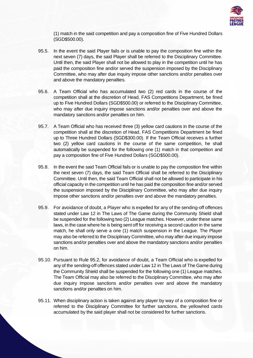

(1) match in the said competition and pay a composition fine of Five Hundred Dollars (SGD\$500.00).

- 95.5. In the event the said Player fails or is unable to pay the composition fine within the next seven (7) days, the said Player shall be referred to the Disciplinary Committee. Until then, the said Player shall not be allowed to play in the competition until he has paid the composition fine and/or served the suspension imposed by the Disciplinary Committee, who may after due inquiry impose other sanctions and/or penalties over and above the mandatory penalties.
- 95.6. A Team Official who has accumulated two (2) red cards in the course of the competition shall at the discretion of Head, FAS Competitions Department, be fined up to Five Hundred Dollars (SGD\$500.00) or referred to the Disciplinary Committee, who may after due inquiry impose sanctions and/or penalties over and above the mandatory sanctions and/or penalties on him.
- 95.7. A Team Official who has received three (3) yellow card cautions in the course of the competition shall at the discretion of Head, FAS Competitions Department be fined up to Three Hundred Dollars (SGD\$300.00). If the Team Official receives a further two (2) yellow card cautions in the course of the same competition, he shall automatically be suspended for the following one (1) match in that competition and pay a composition fine of Five Hundred Dollars (SGD\$500.00).
- 95.8. In the event the said Team Official fails or is unable to pay the composition fine within the next seven (7) days, the said Team Official shall be referred to the Disciplinary Committee. Until then, the said Team Official shall not be allowed to participate in his official capacity in the competition until he has paid the composition fine and/or served the suspension imposed by the Disciplinary Committee, who may after due inquiry impose other sanctions and/or penalties over and above the mandatory penalties.
- 95.9. For avoidance of doubt, a Player who is expelled for any of the sending-off offences stated under Law 12 in The Laws of The Game during the Community Shield shall be suspended for the following two (2) League matches. However, under these same laws, in the case where he is being sent off for receiving a second caution in the same match, he shall only serve a one (1) match suspension in the League. The Player may also be referred to the Disciplinary Committee, who may after due inquiry impose sanctions and/or penalties over and above the mandatory sanctions and/or penalties on him.
- 95.10. Pursuant to Rule 95.2, for avoidance of doubt, a Team Official who is expelled for any of the sending-off offences stated under Law 12 in The Laws of The Game during the Community Shield shall be suspended for the following one (1) League matches. The Team Official may also be referred to the Disciplinary Committee, who may after due inquiry impose sanctions and/or penalties over and above the mandatory sanctions and/or penalties on him.
- 95.11. When disciplinary action is taken against any player by way of a composition fine or referred to the Disciplinary Committee for further sanctions, the yellow/red cards accumulated by the said player shall not be considered for further sanctions.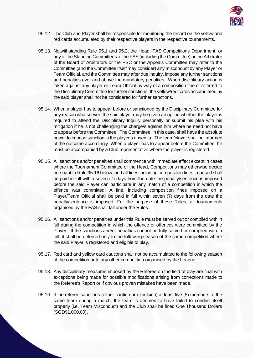

- 95.12. The Club and Player shall be responsible for monitoring the record on the yellow and red cards accumulated by their respective players in the respective tournaments.
- 95.13. Notwithstanding Rule 95.1 and 95.2, the Head, FAS Competitions Department, or any of the Standing Committees of the FAS (including the Committee) or the Arbitrator of the Board of Arbitrators or the PSC or the Appeals Committee may refer to the Committee (and the Committee itself may consider) any misconduct by any Player or Team Official, and the Committee may after due inquiry, impose any further sanctions and penalties over and above the mandatory penalties. When disciplinary action is taken against any player or Team Official by way of a composition fine or referred to the Disciplinary Committee for further sanctions, the yellow/red cards accumulated by the said player shall not be considered for further sanctions.
- 95.14. When a player has to appear before or sanctioned by the Disciplinary Committee for any reason whatsoever, the said player may be given an option whether the player is required to attend the Disciplinary Inquiry personally or submit his plea with his mitigation if he is not challenging the charge/s against him where he need not have to appear before the Committee. The Committee, in this case, shall have the absolute power to impose sanction in the player's absentia. The team/player shall be informed of the outcome accordingly. When a player has to appear before the Committee, he must be accompanied by a Club representative where the player is registered.
- 95.15. All sanctions and/or penalties shall commence with immediate effect except in cases where the Tournament Committee or the Head, Competitions may otherwise decide pursuant to Rule 95.16 below, and all fines including composition fines imposed shall be paid in full within seven (7) days from the date the penalty/sentence is imposed before the said Player can participate in any match of a competition in which the offence was committed. A fine, including composition fines imposed on a Player/Team Official shall be paid in full within seven (7) days from the date the penalty/sentence is imposed. For the purpose of these Rules, all tournaments organised by the FAS shall fall under the Rules.
- 95.16. All sanctions and/or penalties under this Rule must be served out or complied with in full during the competition in which the offence or offences were committed by the Player. If the sanctions and/or penalties cannot be fully served or complied with in full, it shall be deferred only to the following season of the same competition where the said Player is registered and eligible to play.
- 95.17. Red card and yellow card cautions shall not be accumulated to the following season of the competition or to any other competition organised by the League.
- 95.18. Any disciplinary measures imposed by the Referee on the field of play are final with exceptions being made for possible modifications arising from corrections made to the Referee's Report or if obvious proven mistakes have been made.
- 95.19. If the referee sanctions (either caution or expulsion) at least five (5) members of the same team during a match, the team is deemed to have failed to conduct itself properly (i.e. Team Misconduct) and the Club shall be fined One Thousand Dollars (SGD\$1,000.00).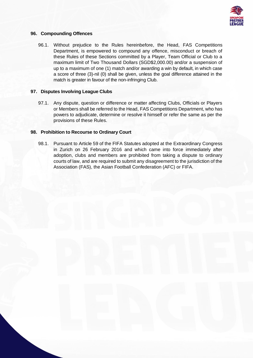

# **96. Compounding Offences**

96.1. Without prejudice to the Rules hereinbefore, the Head, FAS Competitions Department, is empowered to compound any offence, misconduct or breach of these Rules of these Sections committed by a Player, Team Official or Club to a maximum limit of Two Thousand Dollars (SGD\$2,000.00) and/or a suspension of up to a maximum of one (1) match and/or awarding a win by default, in which case a score of three (3)-nil (0) shall be given, unless the goal difference attained in the match is greater in favour of the non-infringing Club.

# **97. Disputes Involving League Clubs**

97.1. Any dispute, question or difference or matter affecting Clubs, Officials or Players or Members shall be referred to the Head, FAS Competitions Department, who has powers to adjudicate, determine or resolve it himself or refer the same as per the provisions of these Rules.

# **98. Prohibition to Recourse to Ordinary Court**

98.1. Pursuant to Article 59 of the FIFA Statutes adopted at the Extraordinary Congress in Zurich on 26 February 2016 and which came into force immediately after adoption, clubs and members are prohibited from taking a dispute to ordinary courts of law, and are required to submit any disagreement to the jurisdiction of the Association (FAS), the Asian Football Confederation (AFC) or FIFA.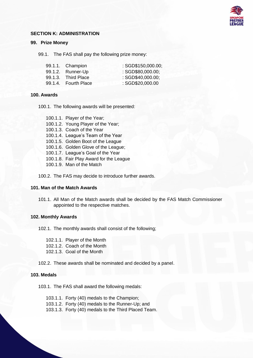

### **SECTION K: ADMINISTRATION**

### **99. Prize Money**

99.1. The FAS shall pay the following prize money:

| 99.1.1. Champion     | : SGD\$150,000.00; |
|----------------------|--------------------|
| 99.1.2. Runner-Up    | : SGD\$80,000.00:  |
| 99.1.3. Third Place  | : SGD\$40,000.00;  |
| 99.1.4. Fourth Place | : SGD\$20,000.00   |

### **100. Awards**

100.1. The following awards will be presented:

100.1.1. Player of the Year;

- 100.1.2. Young Player of the Year;
- 100.1.3. Coach of the Year
- 100.1.4. League's Team of the Year
- 100.1.5. Golden Boot of the League
- 100.1.6. Golden Glove of the League;
- 100.1.7. League's Goal of the Year
- 100.1.8. Fair Play Award for the League
- 100.1.9. Man of the Match

100.2. The FAS may decide to introduce further awards.

### **101. Man of the Match Awards**

101.1. All Man of the Match awards shall be decided by the FAS Match Commissioner appointed to the respective matches.

# **102. Monthly Awards**

102.1. The monthly awards shall consist of the following;

102.1.1. Player of the Month 102.1.2. Coach of the Month 102.1.3. Goal of the Month

102.2. These awards shall be nominated and decided by a panel.

# **103. Medals**

103.1. The FAS shall award the following medals:

103.1.1. Forty (40) medals to the Champion; 103.1.2. Forty (40) medals to the Runner-Up; and 103.1.3. Forty (40) medals to the Third Placed Team.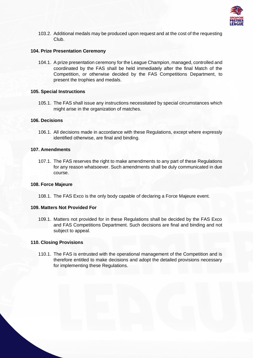

103.2. Additional medals may be produced upon request and at the cost of the requesting Club.

# **104. Prize Presentation Ceremony**

104.1. A prize presentation ceremony for the League Champion, managed, controlled and coordinated by the FAS shall be held immediately after the final Match of the Competition, or otherwise decided by the FAS Competitions Department, to present the trophies and medals.

# **105. Special Instructions**

105.1. The FAS shall issue any instructions necessitated by special circumstances which might arise in the organization of matches.

# **106. Decisions**

106.1. All decisions made in accordance with these Regulations, except where expressly identified otherwise, are final and binding.

# **107. Amendments**

107.1. The FAS reserves the right to make amendments to any part of these Regulations for any reason whatsoever. Such amendments shall be duly communicated in due course.

### **108. Force Majeure**

108.1. The FAS Exco is the only body capable of declaring a Force Majeure event.

### **109. Matters Not Provided For**

109.1. Matters not provided for in these Regulations shall be decided by the FAS Exco and FAS Competitions Department. Such decisions are final and binding and not subject to appeal.

### **110. Closing Provisions**

110.1. The FAS is entrusted with the operational management of the Competition and is therefore entitled to make decisions and adopt the detailed provisions necessary for implementing these Regulations.